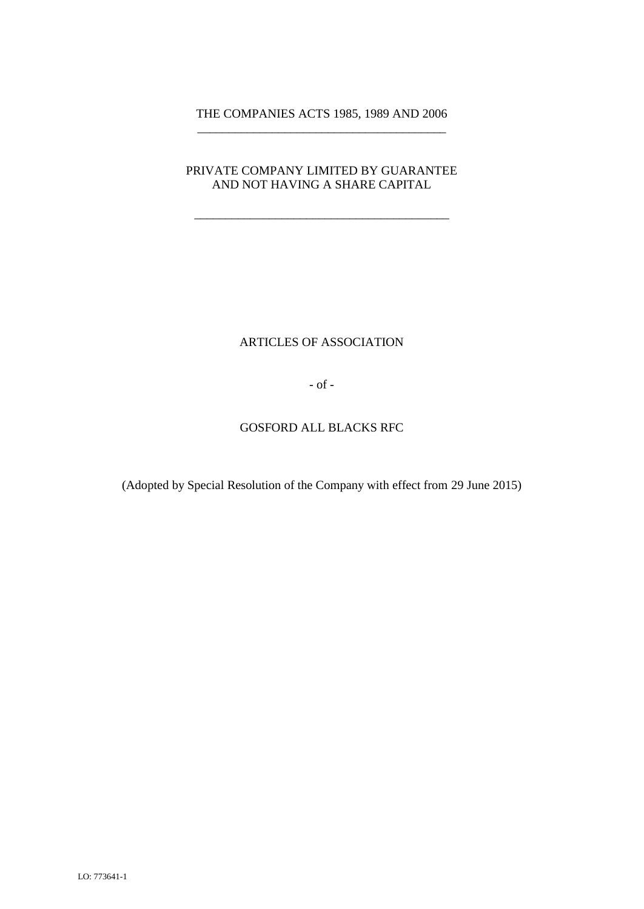## THE COMPANIES ACTS 1985, 1989 AND 2006 \_\_\_\_\_\_\_\_\_\_\_\_\_\_\_\_\_\_\_\_\_\_\_\_\_\_\_\_\_\_\_\_\_\_\_\_\_\_\_\_

### PRIVATE COMPANY LIMITED BY GUARANTEE AND NOT HAVING A SHARE CAPITAL

\_\_\_\_\_\_\_\_\_\_\_\_\_\_\_\_\_\_\_\_\_\_\_\_\_\_\_\_\_\_\_\_\_\_\_\_\_\_\_\_\_

# ARTICLES OF ASSOCIATION

- of -

### GOSFORD ALL BLACKS RFC

(Adopted by Special Resolution of the Company with effect from 29 June 2015)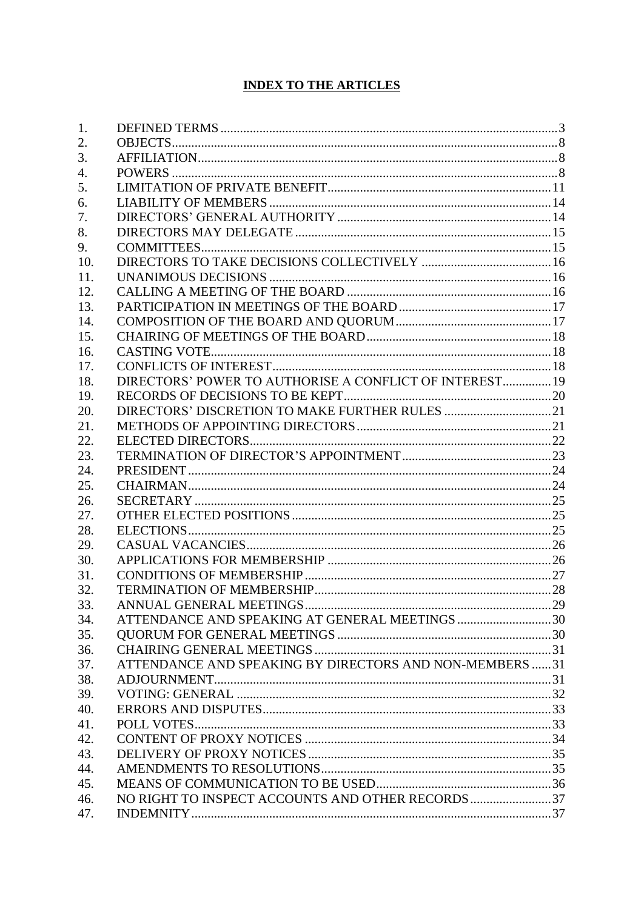# **INDEX TO THE ARTICLES**

| 1.  |                                                         |  |
|-----|---------------------------------------------------------|--|
| 2.  |                                                         |  |
| 3.  |                                                         |  |
| 4.  |                                                         |  |
| 5.  |                                                         |  |
| 6.  |                                                         |  |
| 7.  |                                                         |  |
| 8.  |                                                         |  |
| 9.  |                                                         |  |
| 10. |                                                         |  |
| 11. |                                                         |  |
| 12. |                                                         |  |
| 13. |                                                         |  |
| 14. |                                                         |  |
| 15. |                                                         |  |
| 16. |                                                         |  |
| 17. |                                                         |  |
| 18. | DIRECTORS' POWER TO AUTHORISE A CONFLICT OF INTEREST 19 |  |
| 19. |                                                         |  |
| 20. |                                                         |  |
| 21. |                                                         |  |
| 22. |                                                         |  |
| 23. |                                                         |  |
| 24. |                                                         |  |
| 25. |                                                         |  |
| 26. |                                                         |  |
| 27. |                                                         |  |
| 28. |                                                         |  |
| 29. |                                                         |  |
| 30. |                                                         |  |
| 31. |                                                         |  |
| 32. |                                                         |  |
| 33. |                                                         |  |
| 34. | ATTENDANCE AND SPEAKING AT GENERAL MEETINGS30           |  |
| 35. |                                                         |  |
| 36. |                                                         |  |
| 37. | ATTENDANCE AND SPEAKING BY DIRECTORS AND NON-MEMBERS 31 |  |
| 38. |                                                         |  |
| 39. |                                                         |  |
| 40. |                                                         |  |
| 41. |                                                         |  |
| 42. |                                                         |  |
| 43. |                                                         |  |
| 44. |                                                         |  |
| 45. |                                                         |  |
| 46. | NO RIGHT TO INSPECT ACCOUNTS AND OTHER RECORDS 37       |  |
| 47. |                                                         |  |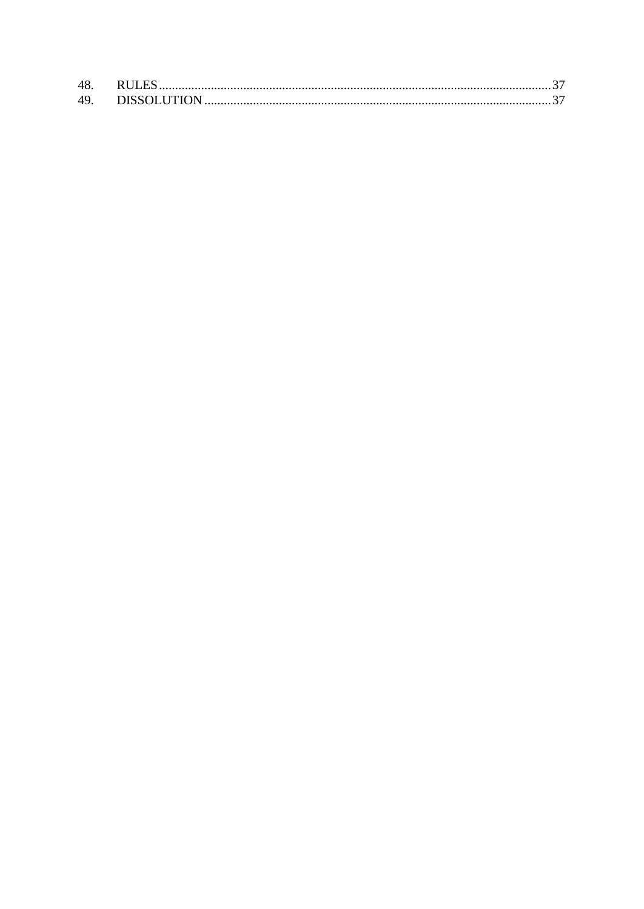| 48. |  |
|-----|--|
|     |  |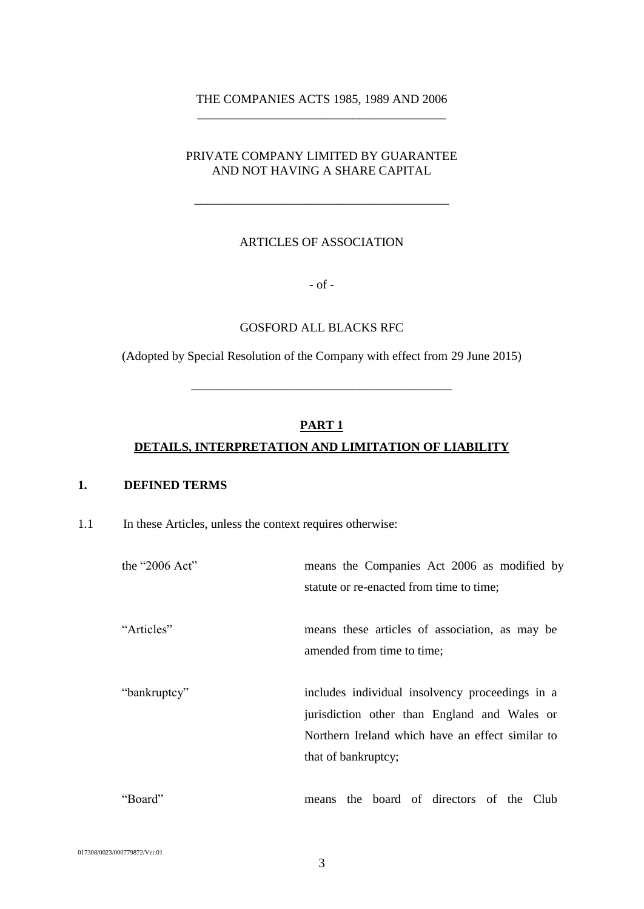#### THE COMPANIES ACTS 1985, 1989 AND 2006 \_\_\_\_\_\_\_\_\_\_\_\_\_\_\_\_\_\_\_\_\_\_\_\_\_\_\_\_\_\_\_\_\_\_\_\_\_\_\_\_

## PRIVATE COMPANY LIMITED BY GUARANTEE AND NOT HAVING A SHARE CAPITAL

\_\_\_\_\_\_\_\_\_\_\_\_\_\_\_\_\_\_\_\_\_\_\_\_\_\_\_\_\_\_\_\_\_\_\_\_\_\_\_\_\_

### ARTICLES OF ASSOCIATION

- of -

#### GOSFORD ALL BLACKS RFC

(Adopted by Special Resolution of the Company with effect from 29 June 2015)

\_\_\_\_\_\_\_\_\_\_\_\_\_\_\_\_\_\_\_\_\_\_\_\_\_\_\_\_\_\_\_\_\_\_\_\_\_\_\_\_\_\_

# **PART 1**

### **DETAILS, INTERPRETATION AND LIMITATION OF LIABILITY**

#### <span id="page-3-0"></span>**1. DEFINED TERMS**

1.1 In these Articles, unless the context requires otherwise:

| the "2006 Act" | means the Companies Act 2006 as modified by                                                                                                                                |
|----------------|----------------------------------------------------------------------------------------------------------------------------------------------------------------------------|
|                | statute or re-enacted from time to time;                                                                                                                                   |
| "Articles"     | means these articles of association, as may be<br>amended from time to time;                                                                                               |
| "bankruptcy"   | includes individual insolvency proceedings in a<br>jurisdiction other than England and Wales or<br>Northern Ireland which have an effect similar to<br>that of bankruptcy; |
| "Board"        | the board of directors of the Club<br>means                                                                                                                                |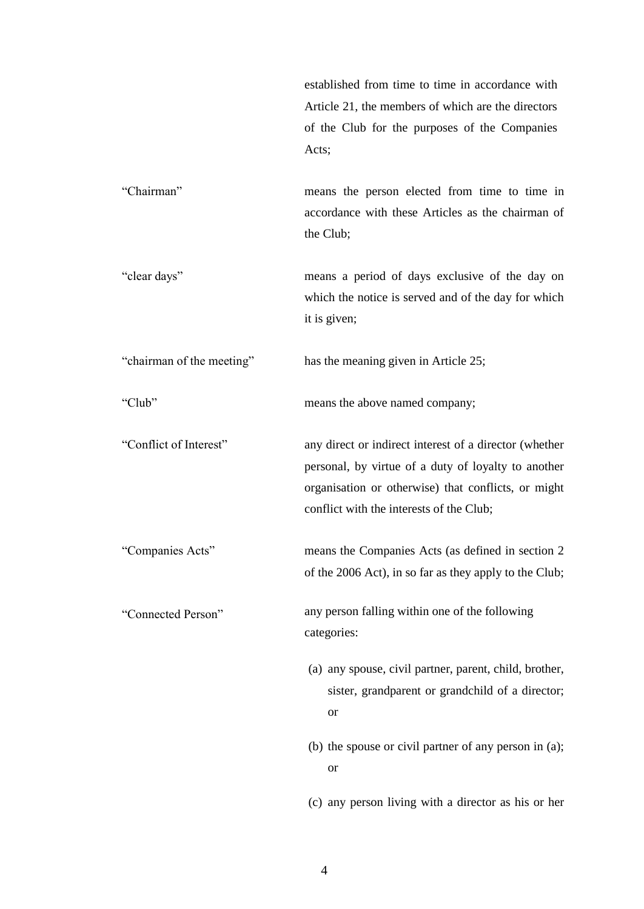established from time to time in accordance with Article [21,](#page-21-1) the members of which are the directors of the Club for the purposes of the Companies Acts;

"Chairman" means the person elected from time to time in accordance with these Articles as the chairman of the Club;

"clear days" means a period of days exclusive of the day on which the notice is served and of the day for which it is given;

"chairman of the meeting" has the meaning given in Article [25;](#page-24-1)

"Club" means the above named company;

"Conflict of Interest" any direct or indirect interest of a director (whether personal, by virtue of a duty of loyalty to another organisation or otherwise) that conflicts, or might conflict with the interests of the Club;

"Companies Acts" means the Companies Acts (as defined in section 2 of the 2006 Act), in so far as they apply to the Club;

"Connected Person" any person falling within one of the following categories:

- (a) any spouse, civil partner, parent, child, brother, sister, grandparent or grandchild of a director; or
- (b) the spouse or civil partner of any person in (a); or

(c) any person living with a director as his or her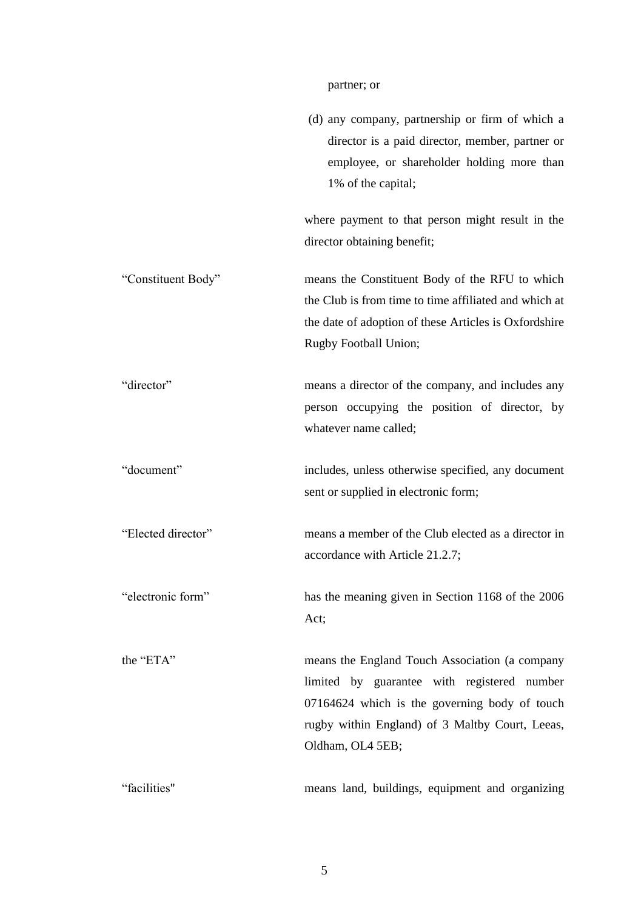# partner; or

|                    | (d) any company, partnership or firm of which a<br>director is a paid director, member, partner or<br>employee, or shareholder holding more than<br>1% of the capital;                                                |
|--------------------|-----------------------------------------------------------------------------------------------------------------------------------------------------------------------------------------------------------------------|
|                    | where payment to that person might result in the<br>director obtaining benefit;                                                                                                                                       |
| "Constituent Body" | means the Constituent Body of the RFU to which<br>the Club is from time to time affiliated and which at<br>the date of adoption of these Articles is Oxfordshire<br>Rugby Football Union;                             |
| "director"         | means a director of the company, and includes any<br>person occupying the position of director, by<br>whatever name called;                                                                                           |
| "document"         | includes, unless otherwise specified, any document<br>sent or supplied in electronic form;                                                                                                                            |
| "Elected director" | means a member of the Club elected as a director in<br>accordance with Article 21.2.7;                                                                                                                                |
| "electronic form"  | has the meaning given in Section 1168 of the 2006<br>Act;                                                                                                                                                             |
| the "ETA"          | means the England Touch Association (a company<br>limited by guarantee with registered number<br>07164624 which is the governing body of touch<br>rugby within England) of 3 Maltby Court, Leeas,<br>Oldham, OL4 5EB; |
| "facilities"       | means land, buildings, equipment and organizing                                                                                                                                                                       |

5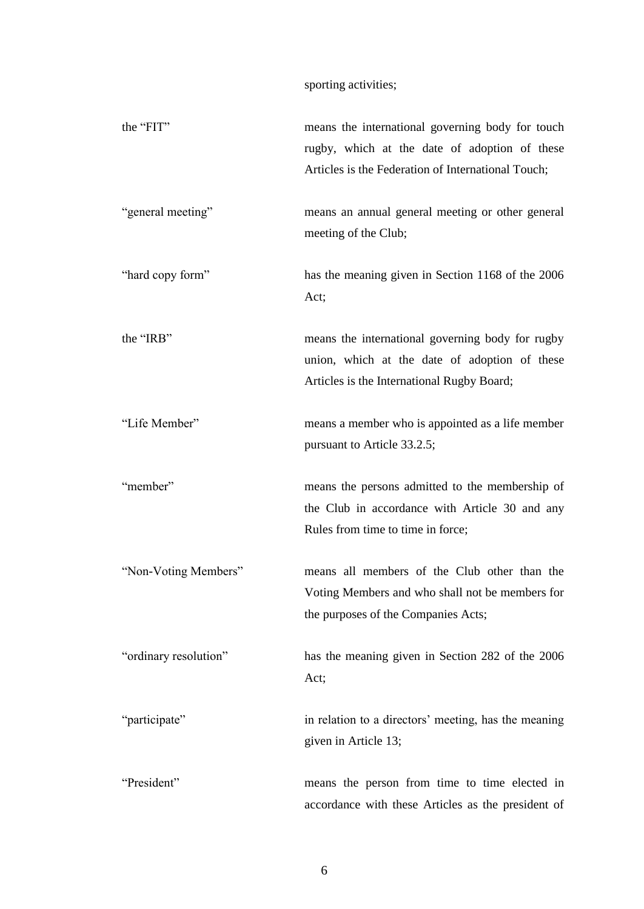sporting activities;

| the "FIT"             | means the international governing body for touch<br>rugby, which at the date of adoption of these<br>Articles is the Federation of International Touch; |
|-----------------------|---------------------------------------------------------------------------------------------------------------------------------------------------------|
| "general meeting"     | means an annual general meeting or other general<br>meeting of the Club;                                                                                |
| "hard copy form"      | has the meaning given in Section 1168 of the 2006<br>Act;                                                                                               |
| the "IRB"             | means the international governing body for rugby<br>union, which at the date of adoption of these<br>Articles is the International Rugby Board;         |
| "Life Member"         | means a member who is appointed as a life member<br>pursuant to Article 33.2.5;                                                                         |
| "member"              | means the persons admitted to the membership of<br>the Club in accordance with Article 30 and any<br>Rules from time to time in force;                  |
| "Non-Voting Members"  | means all members of the Club other than the<br>Voting Members and who shall not be members for<br>the purposes of the Companies Acts;                  |
| "ordinary resolution" | has the meaning given in Section 282 of the 2006<br>Act;                                                                                                |
| "participate"         | in relation to a directors' meeting, has the meaning<br>given in Article 13;                                                                            |
| "President"           | means the person from time to time elected in<br>accordance with these Articles as the president of                                                     |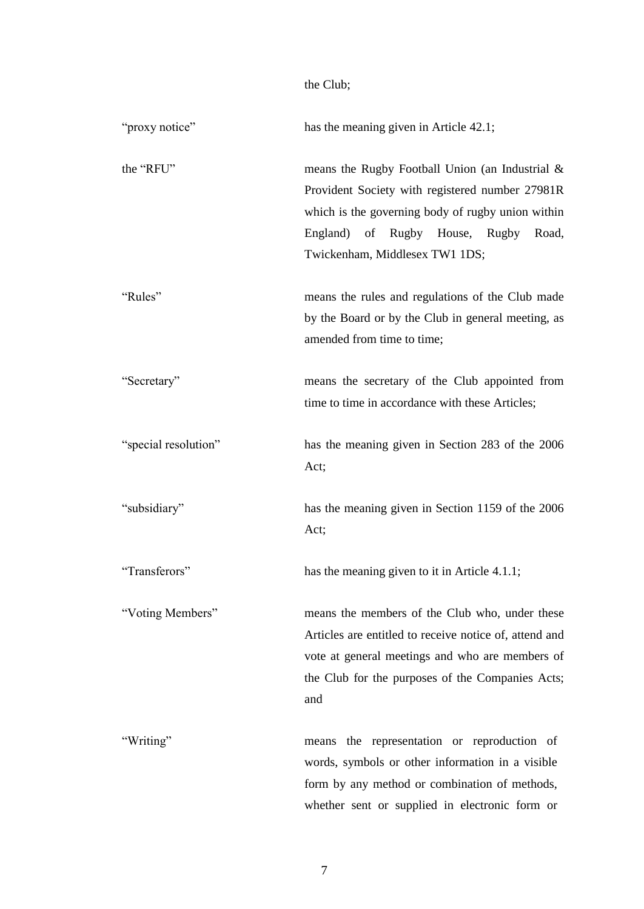|                      | the Club;                                                                                                                                                                                                                               |
|----------------------|-----------------------------------------------------------------------------------------------------------------------------------------------------------------------------------------------------------------------------------------|
| "proxy notice"       | has the meaning given in Article 42.1;                                                                                                                                                                                                  |
| the "RFU"            | means the Rugby Football Union (an Industrial $\&$<br>Provident Society with registered number 27981R<br>which is the governing body of rugby union within<br>England) of Rugby House, Rugby<br>Road,<br>Twickenham, Middlesex TW1 1DS; |
| "Rules"              | means the rules and regulations of the Club made<br>by the Board or by the Club in general meeting, as<br>amended from time to time;                                                                                                    |
| "Secretary"          | means the secretary of the Club appointed from<br>time to time in accordance with these Articles;                                                                                                                                       |
| "special resolution" | has the meaning given in Section 283 of the 2006<br>Act;                                                                                                                                                                                |
| "subsidiary"         | has the meaning given in Section 1159 of the 2006<br>Act;                                                                                                                                                                               |
| "Transferors"        | has the meaning given to it in Article 4.1.1;                                                                                                                                                                                           |
| "Voting Members"     | means the members of the Club who, under these<br>Articles are entitled to receive notice of, attend and<br>vote at general meetings and who are members of<br>the Club for the purposes of the Companies Acts;<br>and                  |
| "Writing"            | the representation or reproduction of<br>means<br>words, symbols or other information in a visible<br>form by any method or combination of methods,<br>whether sent or supplied in electronic form or                                   |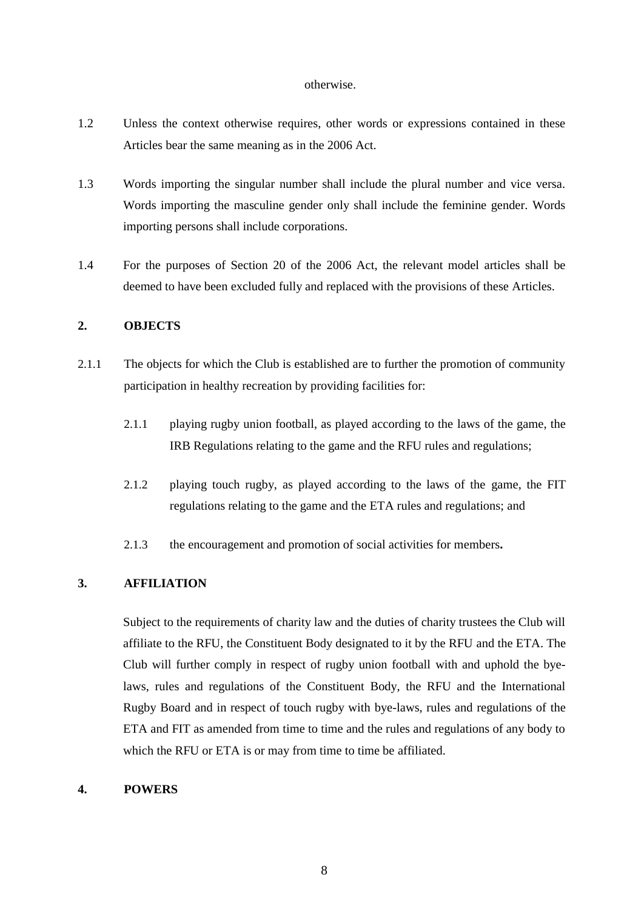#### otherwise.

- 1.2 Unless the context otherwise requires, other words or expressions contained in these Articles bear the same meaning as in the 2006 Act.
- 1.3 Words importing the singular number shall include the plural number and vice versa. Words importing the masculine gender only shall include the feminine gender. Words importing persons shall include corporations.
- 1.4 For the purposes of Section 20 of the 2006 Act, the relevant model articles shall be deemed to have been excluded fully and replaced with the provisions of these Articles.

### <span id="page-8-0"></span>**2. OBJECTS**

- 2.1.1 The objects for which the Club is established are to further the promotion of community participation in healthy recreation by providing facilities for:
	- 2.1.1 playing rugby union football, as played according to the laws of the game, the IRB Regulations relating to the game and the RFU rules and regulations;
	- 2.1.2 playing touch rugby, as played according to the laws of the game, the FIT regulations relating to the game and the ETA rules and regulations; and
	- 2.1.3 the encouragement and promotion of social activities for members**.**

#### <span id="page-8-1"></span>**3. AFFILIATION**

Subject to the requirements of charity law and the duties of charity trustees the Club will affiliate to the RFU, the Constituent Body designated to it by the RFU and the ETA. The Club will further comply in respect of rugby union football with and uphold the byelaws, rules and regulations of the Constituent Body, the RFU and the International Rugby Board and in respect of touch rugby with bye-laws, rules and regulations of the ETA and FIT as amended from time to time and the rules and regulations of any body to which the RFU or ETA is or may from time to time be affiliated.

#### <span id="page-8-2"></span>**4. POWERS**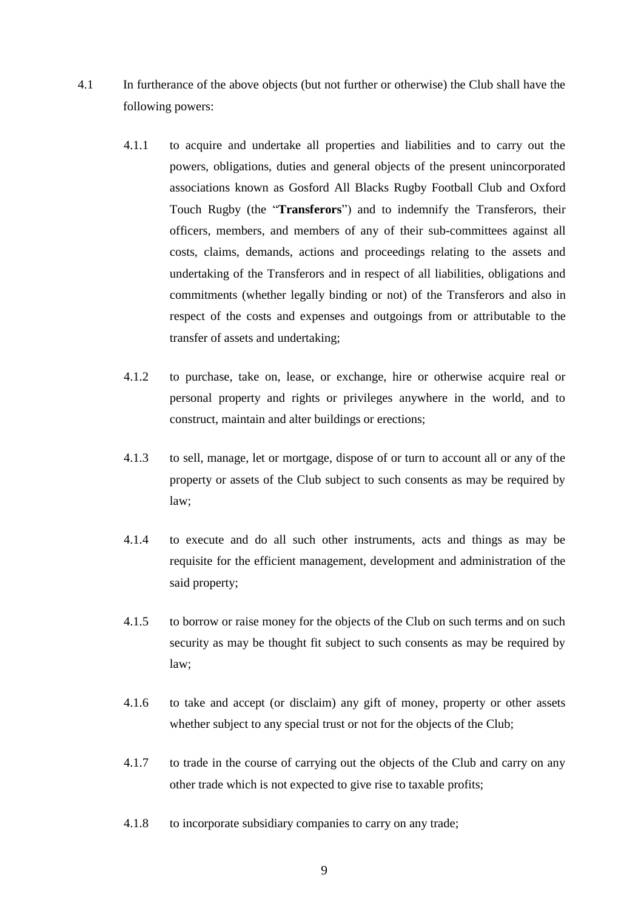- <span id="page-9-0"></span>4.1 In furtherance of the above objects (but not further or otherwise) the Club shall have the following powers:
	- 4.1.1 to acquire and undertake all properties and liabilities and to carry out the powers, obligations, duties and general objects of the present unincorporated associations known as Gosford All Blacks Rugby Football Club and Oxford Touch Rugby (the "**Transferors**") and to indemnify the Transferors, their officers, members, and members of any of their sub-committees against all costs, claims, demands, actions and proceedings relating to the assets and undertaking of the Transferors and in respect of all liabilities, obligations and commitments (whether legally binding or not) of the Transferors and also in respect of the costs and expenses and outgoings from or attributable to the transfer of assets and undertaking;
	- 4.1.2 to purchase, take on, lease, or exchange, hire or otherwise acquire real or personal property and rights or privileges anywhere in the world, and to construct, maintain and alter buildings or erections;
	- 4.1.3 to sell, manage, let or mortgage, dispose of or turn to account all or any of the property or assets of the Club subject to such consents as may be required by law;
	- 4.1.4 to execute and do all such other instruments, acts and things as may be requisite for the efficient management, development and administration of the said property;
	- 4.1.5 to borrow or raise money for the objects of the Club on such terms and on such security as may be thought fit subject to such consents as may be required by law;
	- 4.1.6 to take and accept (or disclaim) any gift of money, property or other assets whether subject to any special trust or not for the objects of the Club;
	- 4.1.7 to trade in the course of carrying out the objects of the Club and carry on any other trade which is not expected to give rise to taxable profits;
	- 4.1.8 to incorporate subsidiary companies to carry on any trade;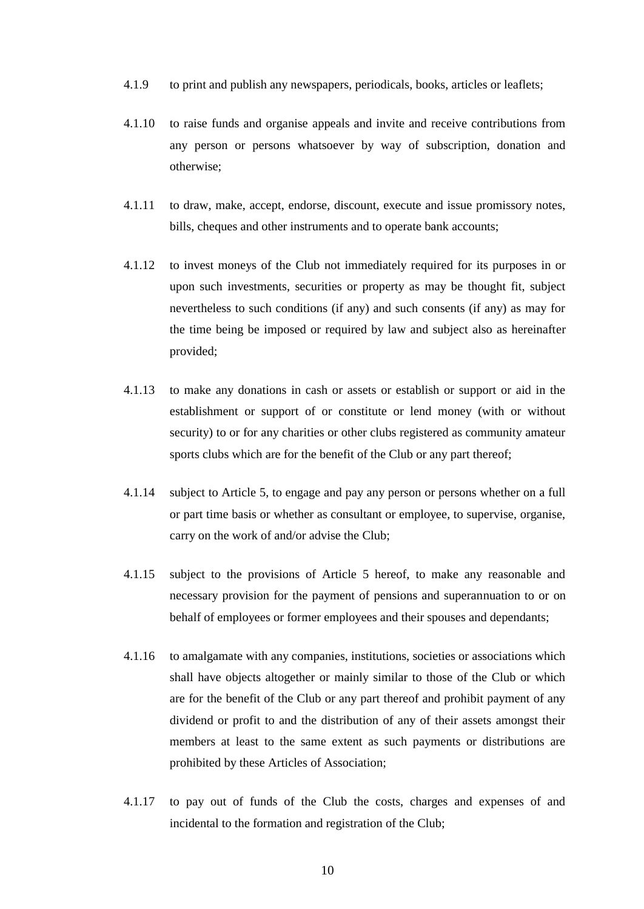- 4.1.9 to print and publish any newspapers, periodicals, books, articles or leaflets;
- 4.1.10 to raise funds and organise appeals and invite and receive contributions from any person or persons whatsoever by way of subscription, donation and otherwise;
- 4.1.11 to draw, make, accept, endorse, discount, execute and issue promissory notes, bills, cheques and other instruments and to operate bank accounts;
- 4.1.12 to invest moneys of the Club not immediately required for its purposes in or upon such investments, securities or property as may be thought fit, subject nevertheless to such conditions (if any) and such consents (if any) as may for the time being be imposed or required by law and subject also as hereinafter provided;
- 4.1.13 to make any donations in cash or assets or establish or support or aid in the establishment or support of or constitute or lend money (with or without security) to or for any charities or other clubs registered as community amateur sports clubs which are for the benefit of the Club or any part thereof;
- 4.1.14 subject to Article [5,](#page-11-0) to engage and pay any person or persons whether on a full or part time basis or whether as consultant or employee, to supervise, organise, carry on the work of and/or advise the Club;
- 4.1.15 subject to the provisions of Article 5 hereof, to make any reasonable and necessary provision for the payment of pensions and superannuation to or on behalf of employees or former employees and their spouses and dependants;
- 4.1.16 to amalgamate with any companies, institutions, societies or associations which shall have objects altogether or mainly similar to those of the Club or which are for the benefit of the Club or any part thereof and prohibit payment of any dividend or profit to and the distribution of any of their assets amongst their members at least to the same extent as such payments or distributions are prohibited by these Articles of Association;
- 4.1.17 to pay out of funds of the Club the costs, charges and expenses of and incidental to the formation and registration of the Club;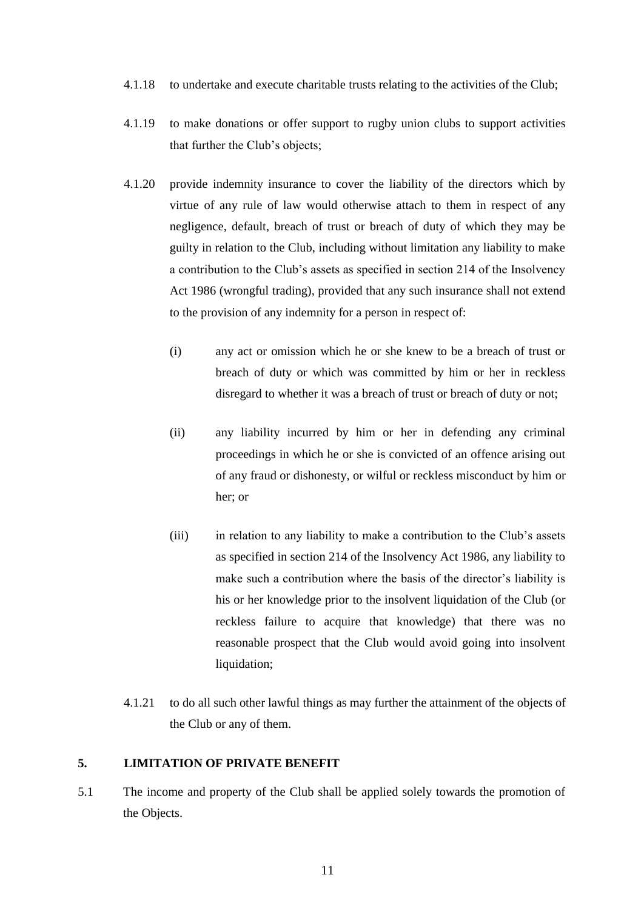- 4.1.18 to undertake and execute charitable trusts relating to the activities of the Club;
- 4.1.19 to make donations or offer support to rugby union clubs to support activities that further the Club's objects;
- <span id="page-11-1"></span>4.1.20 provide indemnity insurance to cover the liability of the directors which by virtue of any rule of law would otherwise attach to them in respect of any negligence, default, breach of trust or breach of duty of which they may be guilty in relation to the Club, including without limitation any liability to make a contribution to the Club's assets as specified in section 214 of the Insolvency Act 1986 (wrongful trading), provided that any such insurance shall not extend to the provision of any indemnity for a person in respect of:
	- (i) any act or omission which he or she knew to be a breach of trust or breach of duty or which was committed by him or her in reckless disregard to whether it was a breach of trust or breach of duty or not;
	- (ii) any liability incurred by him or her in defending any criminal proceedings in which he or she is convicted of an offence arising out of any fraud or dishonesty, or wilful or reckless misconduct by him or her; or
	- (iii) in relation to any liability to make a contribution to the Club's assets as specified in section 214 of the Insolvency Act 1986, any liability to make such a contribution where the basis of the director's liability is his or her knowledge prior to the insolvent liquidation of the Club (or reckless failure to acquire that knowledge) that there was no reasonable prospect that the Club would avoid going into insolvent liquidation;
- 4.1.21 to do all such other lawful things as may further the attainment of the objects of the Club or any of them.

## <span id="page-11-0"></span>**5. LIMITATION OF PRIVATE BENEFIT**

5.1 The income and property of the Club shall be applied solely towards the promotion of the Objects.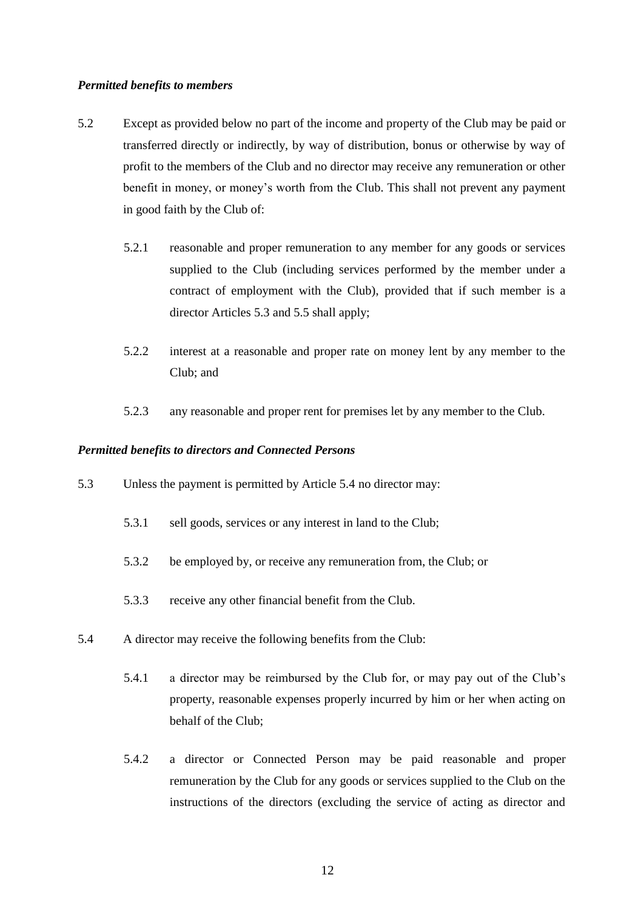#### *Permitted benefits to members*

- 5.2 Except as provided below no part of the income and property of the Club may be paid or transferred directly or indirectly, by way of distribution, bonus or otherwise by way of profit to the members of the Club and no director may receive any remuneration or other benefit in money, or money's worth from the Club. This shall not prevent any payment in good faith by the Club of:
	- 5.2.1 reasonable and proper remuneration to any member for any goods or services supplied to the Club (including services performed by the member under a contract of employment with the Club), provided that if such member is a director Articles [5.3](#page-12-0) and [5.5](#page-14-2) shall apply;
	- 5.2.2 interest at a reasonable and proper rate on money lent by any member to the Club; and
	- 5.2.3 any reasonable and proper rent for premises let by any member to the Club.

#### *Permitted benefits to directors and Connected Persons*

- <span id="page-12-0"></span>5.3 Unless the payment is permitted by Article 5.4 no director may:
	- 5.3.1 sell goods, services or any interest in land to the Club;
	- 5.3.2 be employed by, or receive any remuneration from, the Club; or
	- 5.3.3 receive any other financial benefit from the Club.
- <span id="page-12-2"></span><span id="page-12-1"></span>5.4 A director may receive the following benefits from the Club:
	- 5.4.1 a director may be reimbursed by the Club for, or may pay out of the Club's property, reasonable expenses properly incurred by him or her when acting on behalf of the Club;
	- 5.4.2 a director or Connected Person may be paid reasonable and proper remuneration by the Club for any goods or services supplied to the Club on the instructions of the directors (excluding the service of acting as director and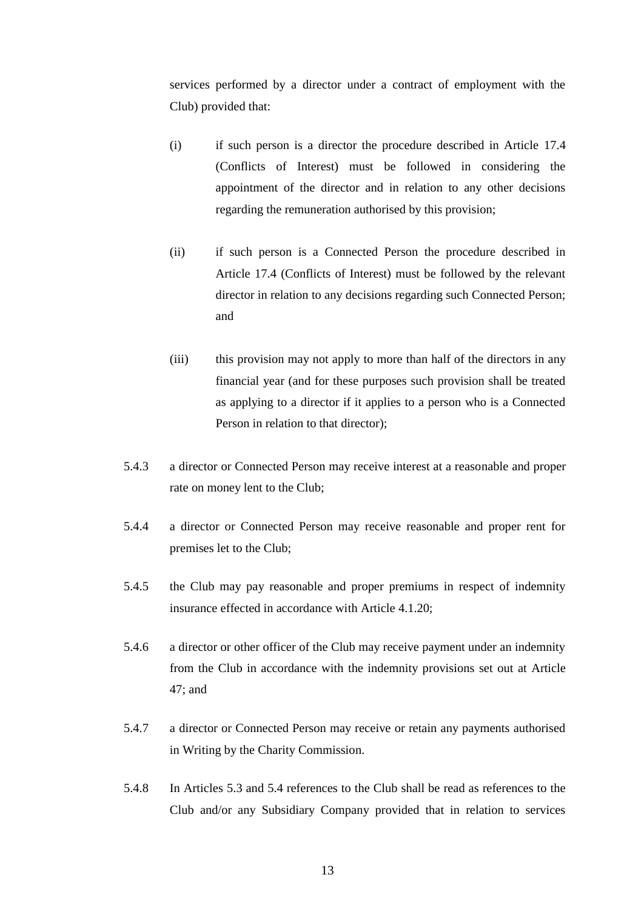services performed by a director under a contract of employment with the Club) provided that:

- (i) if such person is a director the procedure described in Article [17.4](#page-19-1) (Conflicts of Interest) must be followed in considering the appointment of the director and in relation to any other decisions regarding the remuneration authorised by this provision;
- (ii) if such person is a Connected Person the procedure described in Article [17.4](#page-19-1) (Conflicts of Interest) must be followed by the relevant director in relation to any decisions regarding such Connected Person; and
- (iii) this provision may not apply to more than half of the directors in any financial year (and for these purposes such provision shall be treated as applying to a director if it applies to a person who is a Connected Person in relation to that director);
- 5.4.3 a director or Connected Person may receive interest at a reasonable and proper rate on money lent to the Club;
- 5.4.4 a director or Connected Person may receive reasonable and proper rent for premises let to the Club;
- 5.4.5 the Club may pay reasonable and proper premiums in respect of indemnity insurance effected in accordance with Article [4.1.20;](#page-11-1)
- 5.4.6 a director or other officer of the Club may receive payment under an indemnity from the Club in accordance with the indemnity provisions set out at Article [47;](#page-37-1) and
- 5.4.7 a director or Connected Person may receive or retain any payments authorised in Writing by the Charity Commission.
- 5.4.8 In Articles [5.3](#page-12-0) and [5.4](#page-12-1) references to the Club shall be read as references to the Club and/or any Subsidiary Company provided that in relation to services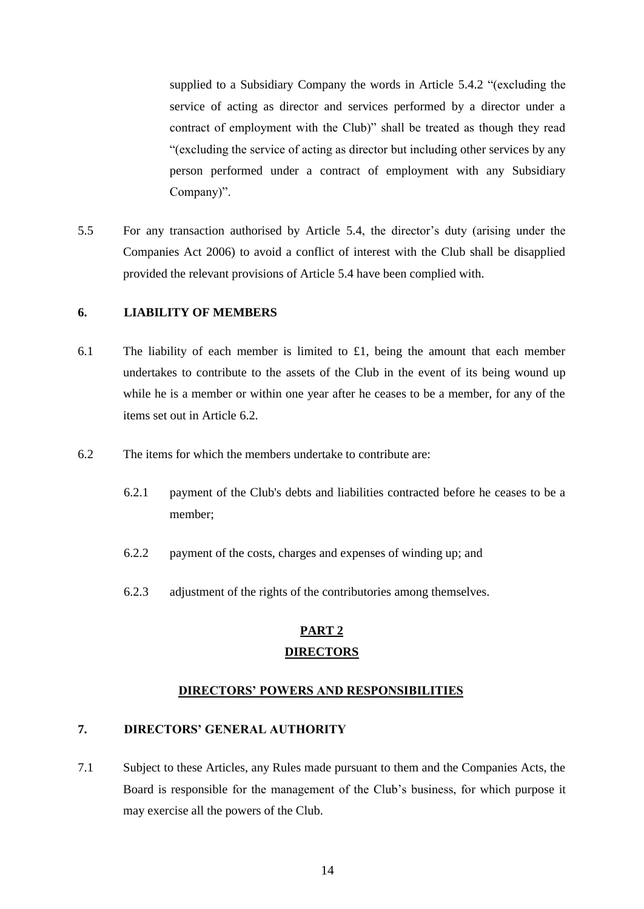supplied to a Subsidiary Company the words in Article [5.4.2](#page-12-2) "(excluding the service of acting as director and services performed by a director under a contract of employment with the Club)" shall be treated as though they read "(excluding the service of acting as director but including other services by any person performed under a contract of employment with any Subsidiary Company)".

<span id="page-14-2"></span>5.5 For any transaction authorised by Article [5.4,](#page-12-1) the director's duty (arising under the Companies Act 2006) to avoid a conflict of interest with the Club shall be disapplied provided the relevant provisions of Article [5.4](#page-12-1) have been complied with.

#### <span id="page-14-0"></span>**6. LIABILITY OF MEMBERS**

- 6.1 The liability of each member is limited to  $\pounds$ 1, being the amount that each member undertakes to contribute to the assets of the Club in the event of its being wound up while he is a member or within one year after he ceases to be a member, for any of the items set out in Article [6.2.](#page-14-3)
- <span id="page-14-3"></span>6.2 The items for which the members undertake to contribute are:
	- 6.2.1 payment of the Club's debts and liabilities contracted before he ceases to be a member;
	- 6.2.2 payment of the costs, charges and expenses of winding up; and
	- 6.2.3 adjustment of the rights of the contributories among themselves.

# **PART 2 DIRECTORS**

### **DIRECTORS' POWERS AND RESPONSIBILITIES**

## <span id="page-14-1"></span>**7. DIRECTORS' GENERAL AUTHORITY**

7.1 Subject to these Articles, any Rules made pursuant to them and the Companies Acts, the Board is responsible for the management of the Club's business, for which purpose it may exercise all the powers of the Club.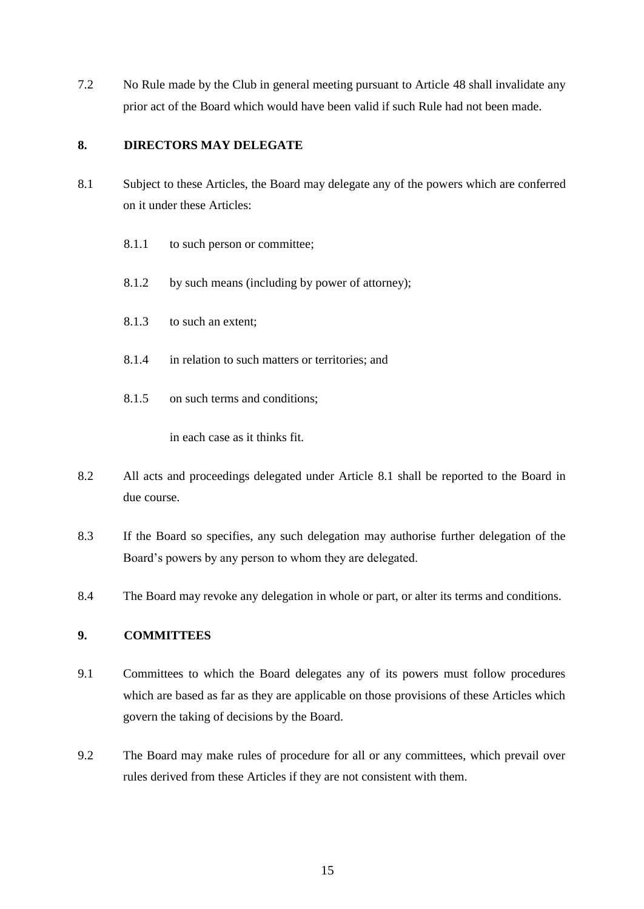7.2 No Rule made by the Club in general meeting pursuant to Article [48](#page-37-2) shall invalidate any prior act of the Board which would have been valid if such Rule had not been made.

### <span id="page-15-0"></span>**8. DIRECTORS MAY DELEGATE**

- <span id="page-15-2"></span>8.1 Subject to these Articles, the Board may delegate any of the powers which are conferred on it under these Articles:
	- 8.1.1 to such person or committee;
	- 8.1.2 by such means (including by power of attorney);
	- 8.1.3 to such an extent;
	- 8.1.4 in relation to such matters or territories; and
	- 8.1.5 on such terms and conditions;

in each case as it thinks fit.

- 8.2 All acts and proceedings delegated under Article [8.1](#page-15-2) shall be reported to the Board in due course.
- 8.3 If the Board so specifies, any such delegation may authorise further delegation of the Board's powers by any person to whom they are delegated.
- 8.4 The Board may revoke any delegation in whole or part, or alter its terms and conditions.

### <span id="page-15-1"></span>**9. COMMITTEES**

- 9.1 Committees to which the Board delegates any of its powers must follow procedures which are based as far as they are applicable on those provisions of these Articles which govern the taking of decisions by the Board.
- 9.2 The Board may make rules of procedure for all or any committees, which prevail over rules derived from these Articles if they are not consistent with them.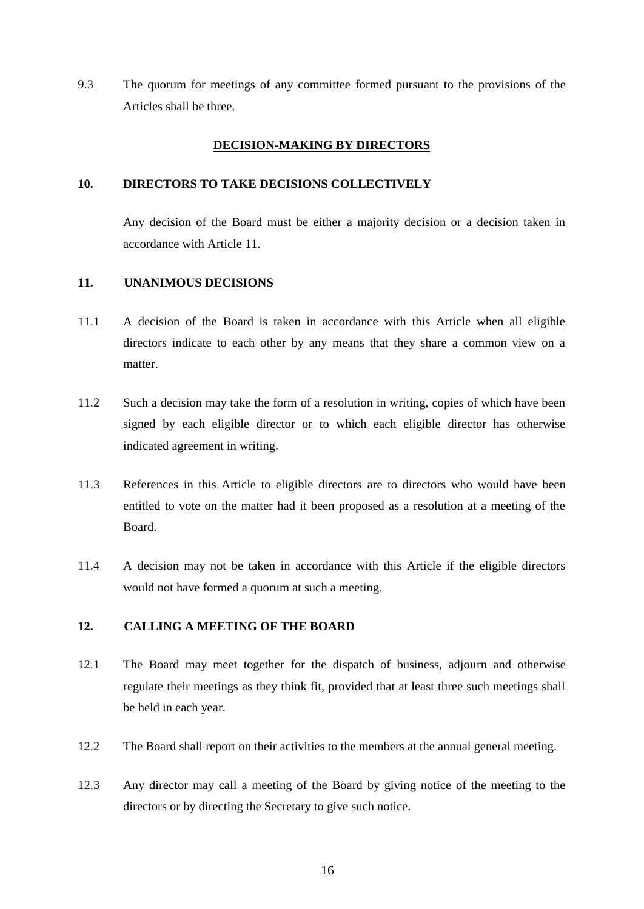9.3 The quorum for meetings of any committee formed pursuant to the provisions of the Articles shall be three.

## **DECISION-MAKING BY DIRECTORS**

### <span id="page-16-0"></span>**10. DIRECTORS TO TAKE DECISIONS COLLECTIVELY**

Any decision of the Board must be either a majority decision or a decision taken in accordance with Article [11.](#page-16-1)

# <span id="page-16-1"></span>**11. UNANIMOUS DECISIONS**

- 11.1 A decision of the Board is taken in accordance with this Article when all eligible directors indicate to each other by any means that they share a common view on a matter.
- 11.2 Such a decision may take the form of a resolution in writing, copies of which have been signed by each eligible director or to which each eligible director has otherwise indicated agreement in writing.
- 11.3 References in this Article to eligible directors are to directors who would have been entitled to vote on the matter had it been proposed as a resolution at a meeting of the Board.
- 11.4 A decision may not be taken in accordance with this Article if the eligible directors would not have formed a quorum at such a meeting.

# <span id="page-16-2"></span>**12. CALLING A MEETING OF THE BOARD**

- 12.1 The Board may meet together for the dispatch of business, adjourn and otherwise regulate their meetings as they think fit, provided that at least three such meetings shall be held in each year.
- 12.2 The Board shall report on their activities to the members at the annual general meeting.
- 12.3 Any director may call a meeting of the Board by giving notice of the meeting to the directors or by directing the Secretary to give such notice.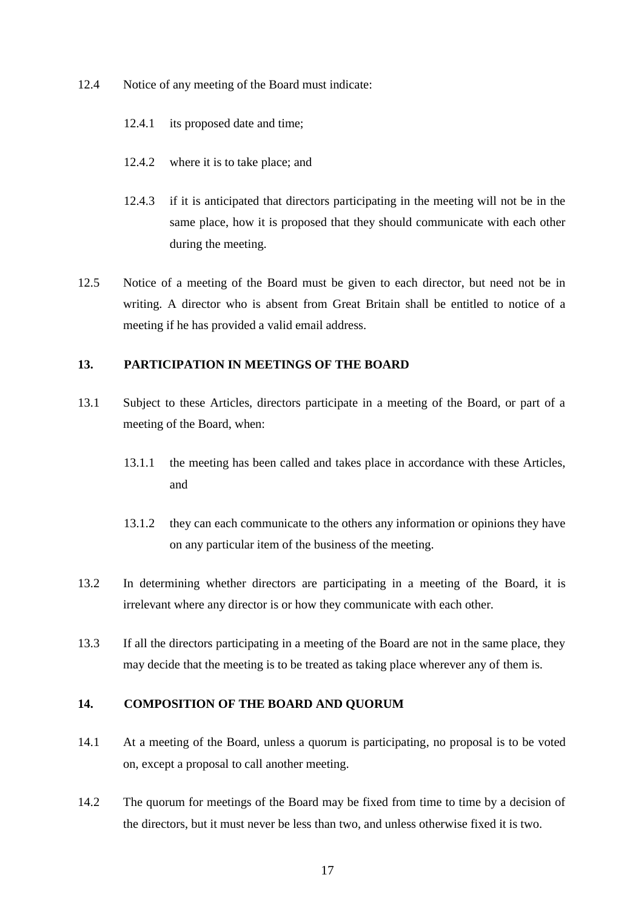- 12.4 Notice of any meeting of the Board must indicate:
	- 12.4.1 its proposed date and time;
	- 12.4.2 where it is to take place; and
	- 12.4.3 if it is anticipated that directors participating in the meeting will not be in the same place, how it is proposed that they should communicate with each other during the meeting.
- 12.5 Notice of a meeting of the Board must be given to each director, but need not be in writing. A director who is absent from Great Britain shall be entitled to notice of a meeting if he has provided a valid email address.

### <span id="page-17-0"></span>**13. PARTICIPATION IN MEETINGS OF THE BOARD**

- 13.1 Subject to these Articles, directors participate in a meeting of the Board, or part of a meeting of the Board, when:
	- 13.1.1 the meeting has been called and takes place in accordance with these Articles, and
	- 13.1.2 they can each communicate to the others any information or opinions they have on any particular item of the business of the meeting.
- 13.2 In determining whether directors are participating in a meeting of the Board, it is irrelevant where any director is or how they communicate with each other.
- 13.3 If all the directors participating in a meeting of the Board are not in the same place, they may decide that the meeting is to be treated as taking place wherever any of them is.

### <span id="page-17-1"></span>**14. COMPOSITION OF THE BOARD AND QUORUM**

- 14.1 At a meeting of the Board, unless a quorum is participating, no proposal is to be voted on, except a proposal to call another meeting.
- 14.2 The quorum for meetings of the Board may be fixed from time to time by a decision of the directors, but it must never be less than two, and unless otherwise fixed it is two.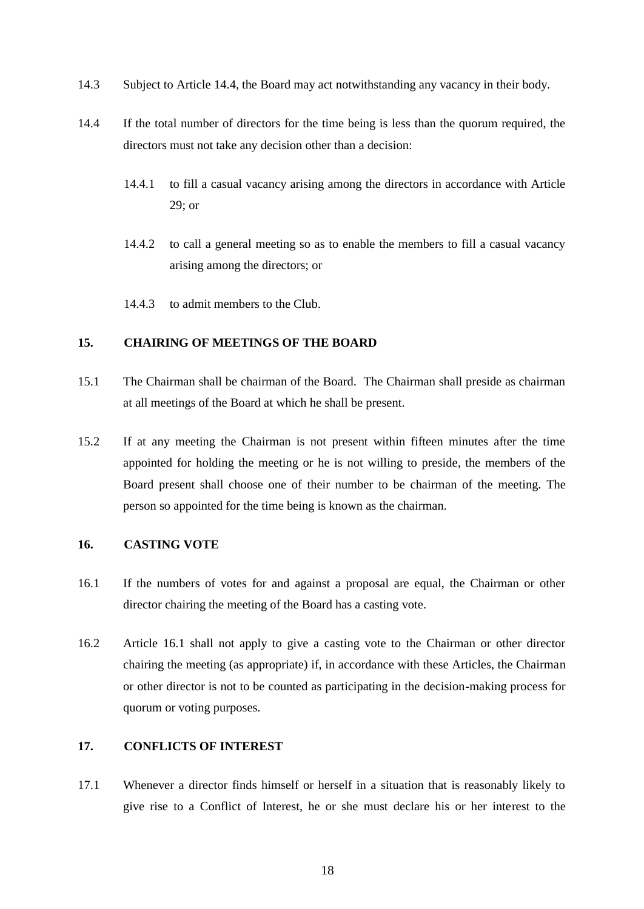- 14.3 Subject to Article [14.4,](#page-18-3) the Board may act notwithstanding any vacancy in their body.
- <span id="page-18-3"></span>14.4 If the total number of directors for the time being is less than the quorum required, the directors must not take any decision other than a decision:
	- 14.4.1 to fill a casual vacancy arising among the directors in accordance with Article [29;](#page-26-0) or
	- 14.4.2 to call a general meeting so as to enable the members to fill a casual vacancy arising among the directors; or
	- 14.4.3 to admit members to the Club.

#### <span id="page-18-0"></span>**15. CHAIRING OF MEETINGS OF THE BOARD**

- 15.1 The Chairman shall be chairman of the Board. The Chairman shall preside as chairman at all meetings of the Board at which he shall be present.
- 15.2 If at any meeting the Chairman is not present within fifteen minutes after the time appointed for holding the meeting or he is not willing to preside, the members of the Board present shall choose one of their number to be chairman of the meeting. The person so appointed for the time being is known as the chairman.

### <span id="page-18-1"></span>**16. CASTING VOTE**

- <span id="page-18-4"></span>16.1 If the numbers of votes for and against a proposal are equal, the Chairman or other director chairing the meeting of the Board has a casting vote.
- 16.2 Article [16.1](#page-18-4) shall not apply to give a casting vote to the Chairman or other director chairing the meeting (as appropriate) if, in accordance with these Articles, the Chairman or other director is not to be counted as participating in the decision-making process for quorum or voting purposes.

### <span id="page-18-2"></span>**17. CONFLICTS OF INTEREST**

17.1 Whenever a director finds himself or herself in a situation that is reasonably likely to give rise to a Conflict of Interest, he or she must declare his or her interest to the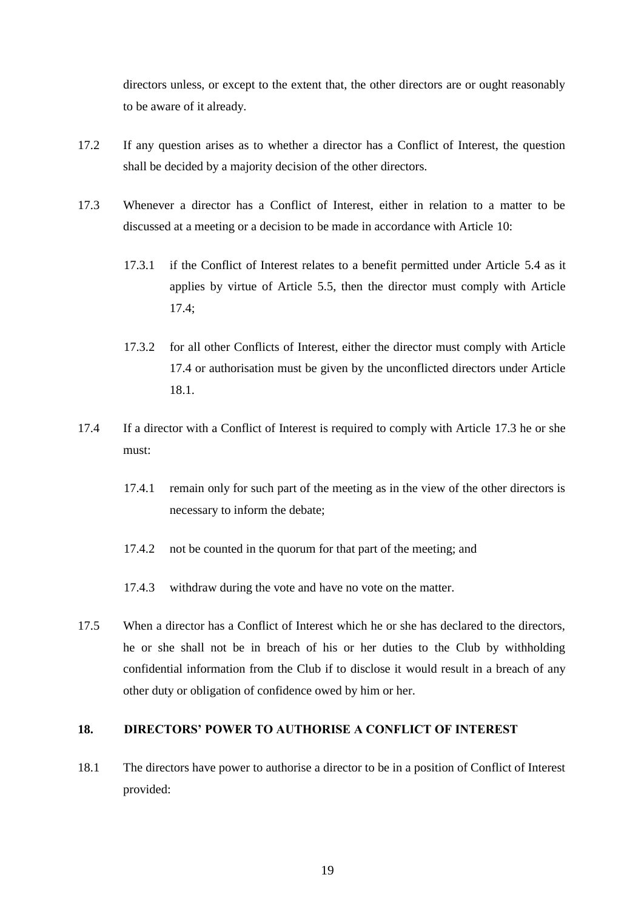directors unless, or except to the extent that, the other directors are or ought reasonably to be aware of it already.

- 17.2 If any question arises as to whether a director has a Conflict of Interest, the question shall be decided by a majority decision of the other directors.
- <span id="page-19-3"></span>17.3 Whenever a director has a Conflict of Interest, either in relation to a matter to be discussed at a meeting or a decision to be made in accordance with Article [10:](#page-16-0)
	- 17.3.1 if the Conflict of Interest relates to a benefit permitted under Article [5.4](#page-12-1) as it applies by virtue of Article [5.5,](#page-14-2) then the director must comply with Article [17.4;](#page-19-1)
	- 17.3.2 for all other Conflicts of Interest, either the director must comply with Article [17.4](#page-19-1) or authorisation must be given by the unconflicted directors under Article [18.1.](#page-19-2)
- <span id="page-19-1"></span>17.4 If a director with a Conflict of Interest is required to comply with Article [17.3](#page-19-3) he or she must:
	- 17.4.1 remain only for such part of the meeting as in the view of the other directors is necessary to inform the debate;
	- 17.4.2 not be counted in the quorum for that part of the meeting; and
	- 17.4.3 withdraw during the vote and have no vote on the matter.
- 17.5 When a director has a Conflict of Interest which he or she has declared to the directors, he or she shall not be in breach of his or her duties to the Club by withholding confidential information from the Club if to disclose it would result in a breach of any other duty or obligation of confidence owed by him or her.

# <span id="page-19-0"></span>**18. DIRECTORS' POWER TO AUTHORISE A CONFLICT OF INTEREST**

<span id="page-19-2"></span>18.1 The directors have power to authorise a director to be in a position of Conflict of Interest provided: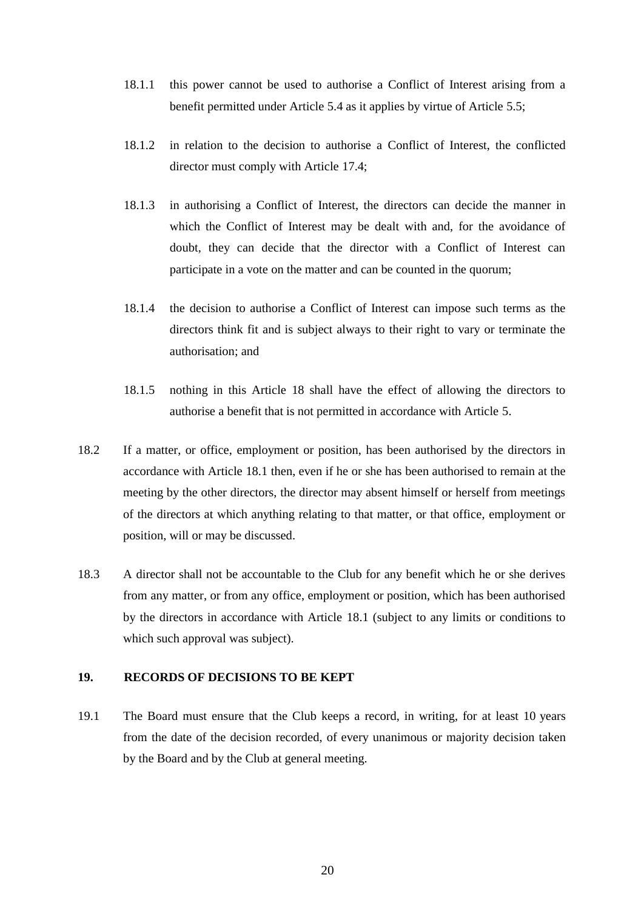- 18.1.1 this power cannot be used to authorise a Conflict of Interest arising from a benefit permitted under Article [5.4](#page-12-1) as it applies by virtue of Article [5.5;](#page-14-2)
- 18.1.2 in relation to the decision to authorise a Conflict of Interest, the conflicted director must comply with Article [17.4;](#page-19-1)
- 18.1.3 in authorising a Conflict of Interest, the directors can decide the manner in which the Conflict of Interest may be dealt with and, for the avoidance of doubt, they can decide that the director with a Conflict of Interest can participate in a vote on the matter and can be counted in the quorum;
- 18.1.4 the decision to authorise a Conflict of Interest can impose such terms as the directors think fit and is subject always to their right to vary or terminate the authorisation; and
- 18.1.5 nothing in this Article [18](#page-19-0) shall have the effect of allowing the directors to authorise a benefit that is not permitted in accordance with Article [5.](#page-11-0)
- 18.2 If a matter, or office, employment or position, has been authorised by the directors in accordance with Article [18.1](#page-19-2) then, even if he or she has been authorised to remain at the meeting by the other directors, the director may absent himself or herself from meetings of the directors at which anything relating to that matter, or that office, employment or position, will or may be discussed.
- 18.3 A director shall not be accountable to the Club for any benefit which he or she derives from any matter, or from any office, employment or position, which has been authorised by the directors in accordance with Article [18.1](#page-19-2) (subject to any limits or conditions to which such approval was subject).

#### <span id="page-20-0"></span>**19. RECORDS OF DECISIONS TO BE KEPT**

19.1 The Board must ensure that the Club keeps a record, in writing, for at least 10 years from the date of the decision recorded, of every unanimous or majority decision taken by the Board and by the Club at general meeting.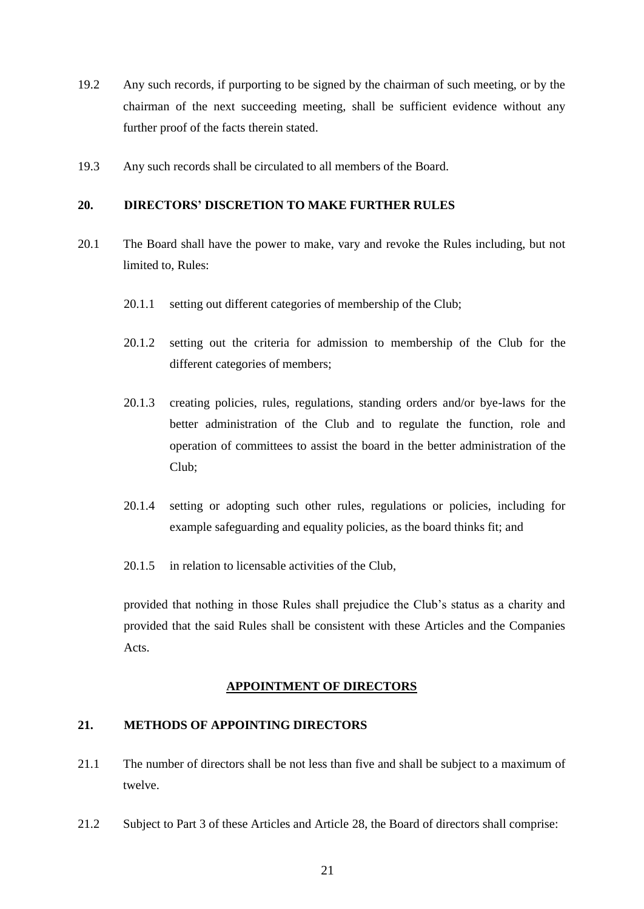- 19.2 Any such records, if purporting to be signed by the chairman of such meeting, or by the chairman of the next succeeding meeting, shall be sufficient evidence without any further proof of the facts therein stated.
- 19.3 Any such records shall be circulated to all members of the Board.

#### <span id="page-21-0"></span>**20. DIRECTORS' DISCRETION TO MAKE FURTHER RULES**

- 20.1 The Board shall have the power to make, vary and revoke the Rules including, but not limited to, Rules:
	- 20.1.1 setting out different categories of membership of the Club;
	- 20.1.2 setting out the criteria for admission to membership of the Club for the different categories of members;
	- 20.1.3 creating policies, rules, regulations, standing orders and/or bye-laws for the better administration of the Club and to regulate the function, role and operation of committees to assist the board in the better administration of the Club;
	- 20.1.4 setting or adopting such other rules, regulations or policies, including for example safeguarding and equality policies, as the board thinks fit; and
	- 20.1.5 in relation to licensable activities of the Club,

provided that nothing in those Rules shall prejudice the Club's status as a charity and provided that the said Rules shall be consistent with these Articles and the Companies Acts.

### **APPOINTMENT OF DIRECTORS**

#### <span id="page-21-1"></span>**21. METHODS OF APPOINTING DIRECTORS**

- 21.1 The number of directors shall be not less than five and shall be subject to a maximum of twelve.
- 21.2 Subject to Part 3 of these Articles and Article [28,](#page-25-2) the Board of directors shall comprise: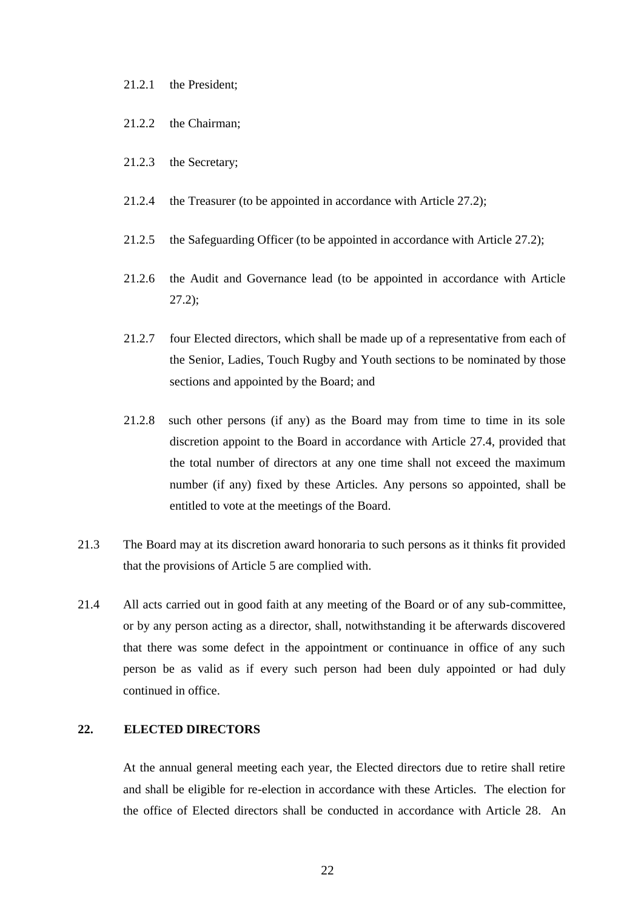#### 21.2.1 the President;

- 21.2.2 the Chairman;
- 21.2.3 the Secretary;
- 21.2.4 the Treasurer (to be appointed in accordance with Article 27.2);
- 21.2.5 the Safeguarding Officer (to be appointed in accordance with Article 27.2);
- 21.2.6 the Audit and Governance lead (to be appointed in accordance with Article 27.2);
- <span id="page-22-1"></span>21.2.7 four Elected directors, which shall be made up of a representative from each of the Senior, Ladies, Touch Rugby and Youth sections to be nominated by those sections and appointed by the Board; and
- 21.2.8 such other persons (if any) as the Board may from time to time in its sole discretion appoint to the Board in accordance with Article 27.4, provided that the total number of directors at any one time shall not exceed the maximum number (if any) fixed by these Articles. Any persons so appointed, shall be entitled to vote at the meetings of the Board.
- 21.3 The Board may at its discretion award honoraria to such persons as it thinks fit provided that the provisions of Article [5](#page-11-0) are complied with.
- 21.4 All acts carried out in good faith at any meeting of the Board or of any sub-committee, or by any person acting as a director, shall, notwithstanding it be afterwards discovered that there was some defect in the appointment or continuance in office of any such person be as valid as if every such person had been duly appointed or had duly continued in office.

## <span id="page-22-0"></span>**22. ELECTED DIRECTORS**

At the annual general meeting each year, the Elected directors due to retire shall retire and shall be eligible for re-election in accordance with these Articles. The election for the office of Elected directors shall be conducted in accordance with Article [28.](#page-25-2) An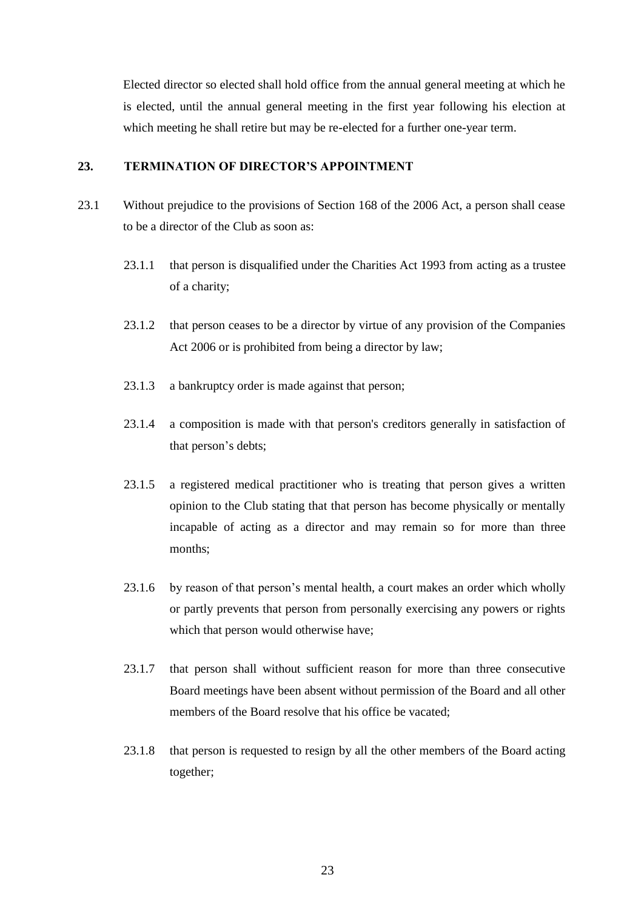Elected director so elected shall hold office from the annual general meeting at which he is elected, until the annual general meeting in the first year following his election at which meeting he shall retire but may be re-elected for a further one-year term.

#### <span id="page-23-0"></span>**23. TERMINATION OF DIRECTOR'S APPOINTMENT**

- 23.1 Without prejudice to the provisions of Section 168 of the 2006 Act, a person shall cease to be a director of the Club as soon as:
	- 23.1.1 that person is disqualified under the Charities Act 1993 from acting as a trustee of a charity;
	- 23.1.2 that person ceases to be a director by virtue of any provision of the Companies Act 2006 or is prohibited from being a director by law;
	- 23.1.3 a bankruptcy order is made against that person;
	- 23.1.4 a composition is made with that person's creditors generally in satisfaction of that person's debts;
	- 23.1.5 a registered medical practitioner who is treating that person gives a written opinion to the Club stating that that person has become physically or mentally incapable of acting as a director and may remain so for more than three months;
	- 23.1.6 by reason of that person's mental health, a court makes an order which wholly or partly prevents that person from personally exercising any powers or rights which that person would otherwise have;
	- 23.1.7 that person shall without sufficient reason for more than three consecutive Board meetings have been absent without permission of the Board and all other members of the Board resolve that his office be vacated;
	- 23.1.8 that person is requested to resign by all the other members of the Board acting together;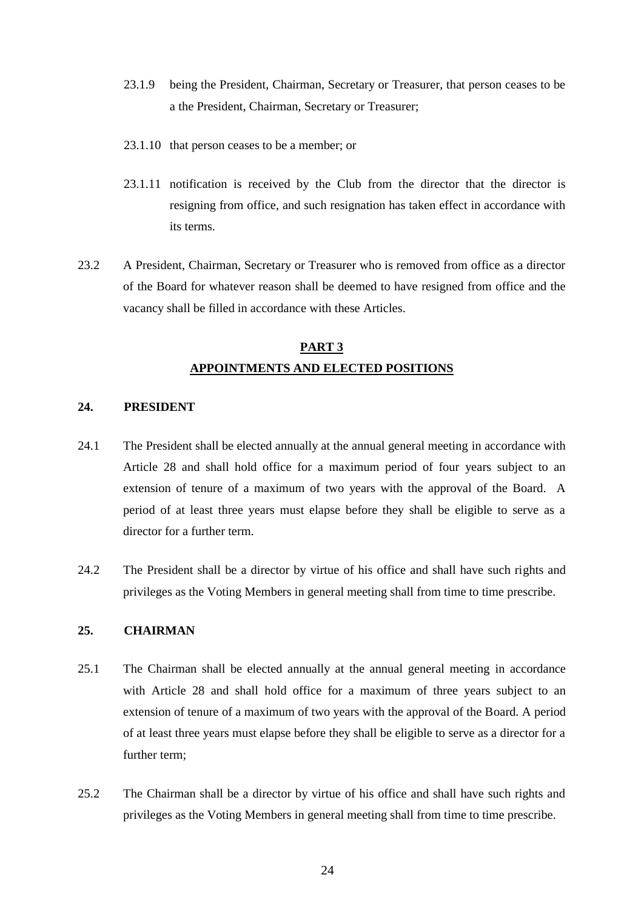- 23.1.9 being the President, Chairman, Secretary or Treasurer, that person ceases to be a the President, Chairman, Secretary or Treasurer;
- 23.1.10 that person ceases to be a member; or
- 23.1.11 notification is received by the Club from the director that the director is resigning from office, and such resignation has taken effect in accordance with its terms.
- 23.2 A President, Chairman, Secretary or Treasurer who is removed from office as a director of the Board for whatever reason shall be deemed to have resigned from office and the vacancy shall be filled in accordance with these Articles.

# **PART 3 APPOINTMENTS AND ELECTED POSITIONS**

### <span id="page-24-0"></span>**24. PRESIDENT**

- 24.1 The President shall be elected annually at the annual general meeting in accordance with Article 28 and shall hold office for a maximum period of four years subject to an extension of tenure of a maximum of two years with the approval of the Board. A period of at least three years must elapse before they shall be eligible to serve as a director for a further term.
- 24.2 The President shall be a director by virtue of his office and shall have such rights and privileges as the Voting Members in general meeting shall from time to time prescribe.

### <span id="page-24-1"></span>**25. CHAIRMAN**

- 25.1 The Chairman shall be elected annually at the annual general meeting in accordance with Article 28 and shall hold office for a maximum of three years subject to an extension of tenure of a maximum of two years with the approval of the Board. A period of at least three years must elapse before they shall be eligible to serve as a director for a further term;
- 25.2 The Chairman shall be a director by virtue of his office and shall have such rights and privileges as the Voting Members in general meeting shall from time to time prescribe.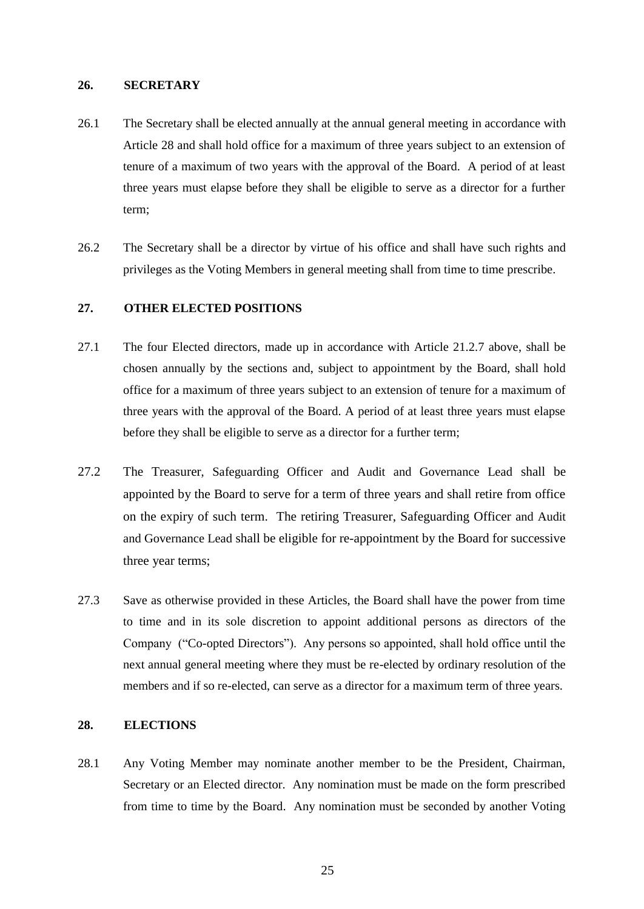#### <span id="page-25-0"></span>**26. SECRETARY**

- 26.1 The Secretary shall be elected annually at the annual general meeting in accordance with Article 28 and shall hold office for a maximum of three years subject to an extension of tenure of a maximum of two years with the approval of the Board. A period of at least three years must elapse before they shall be eligible to serve as a director for a further term;
- 26.2 The Secretary shall be a director by virtue of his office and shall have such rights and privileges as the Voting Members in general meeting shall from time to time prescribe.

### <span id="page-25-1"></span>**27. OTHER ELECTED POSITIONS**

- 27.1 The four Elected directors, made up in accordance with Article 21.2.7 above, shall be chosen annually by the sections and, subject to appointment by the Board, shall hold office for a maximum of three years subject to an extension of tenure for a maximum of three years with the approval of the Board. A period of at least three years must elapse before they shall be eligible to serve as a director for a further term;
- 27.2 The Treasurer, Safeguarding Officer and Audit and Governance Lead shall be appointed by the Board to serve for a term of three years and shall retire from office on the expiry of such term. The retiring Treasurer, Safeguarding Officer and Audit and Governance Lead shall be eligible for re-appointment by the Board for successive three year terms;
- 27.3 Save as otherwise provided in these Articles, the Board shall have the power from time to time and in its sole discretion to appoint additional persons as directors of the Company ("Co-opted Directors"). Any persons so appointed, shall hold office until the next annual general meeting where they must be re-elected by ordinary resolution of the members and if so re-elected, can serve as a director for a maximum term of three years.

#### <span id="page-25-2"></span>**28. ELECTIONS**

28.1 Any Voting Member may nominate another member to be the President, Chairman, Secretary or an Elected director. Any nomination must be made on the form prescribed from time to time by the Board. Any nomination must be seconded by another Voting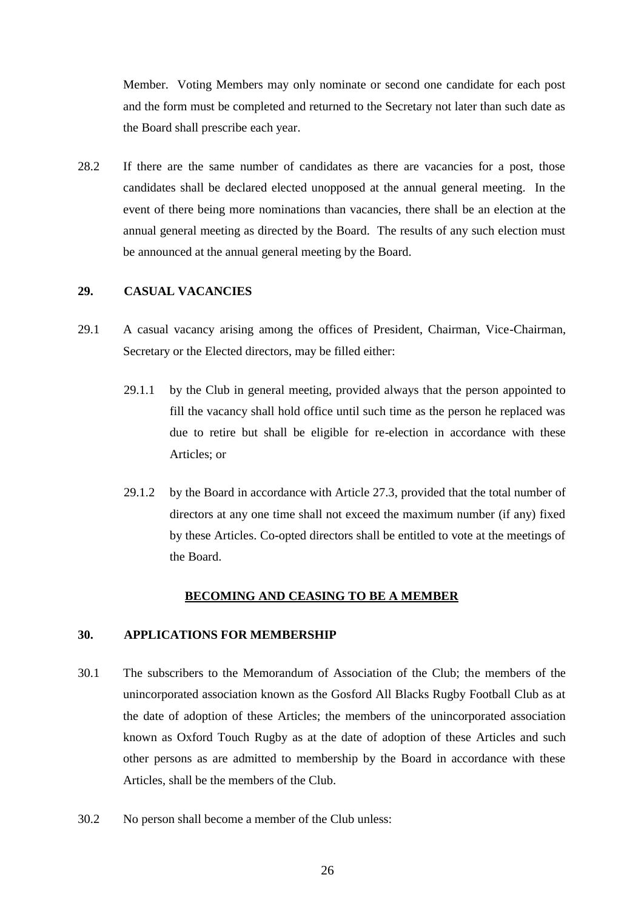Member. Voting Members may only nominate or second one candidate for each post and the form must be completed and returned to the Secretary not later than such date as the Board shall prescribe each year.

28.2 If there are the same number of candidates as there are vacancies for a post, those candidates shall be declared elected unopposed at the annual general meeting. In the event of there being more nominations than vacancies, there shall be an election at the annual general meeting as directed by the Board. The results of any such election must be announced at the annual general meeting by the Board.

### <span id="page-26-0"></span>**29. CASUAL VACANCIES**

- 29.1 A casual vacancy arising among the offices of President, Chairman, Vice-Chairman, Secretary or the Elected directors, may be filled either:
	- 29.1.1 by the Club in general meeting, provided always that the person appointed to fill the vacancy shall hold office until such time as the person he replaced was due to retire but shall be eligible for re-election in accordance with these Articles; or
	- 29.1.2 by the Board in accordance with Article 27.3, provided that the total number of directors at any one time shall not exceed the maximum number (if any) fixed by these Articles. Co-opted directors shall be entitled to vote at the meetings of the Board.

#### **BECOMING AND CEASING TO BE A MEMBER**

### <span id="page-26-1"></span>**30. APPLICATIONS FOR MEMBERSHIP**

- 30.1 The subscribers to the Memorandum of Association of the Club; the members of the unincorporated association known as the Gosford All Blacks Rugby Football Club as at the date of adoption of these Articles; the members of the unincorporated association known as Oxford Touch Rugby as at the date of adoption of these Articles and such other persons as are admitted to membership by the Board in accordance with these Articles, shall be the members of the Club.
- 30.2 No person shall become a member of the Club unless: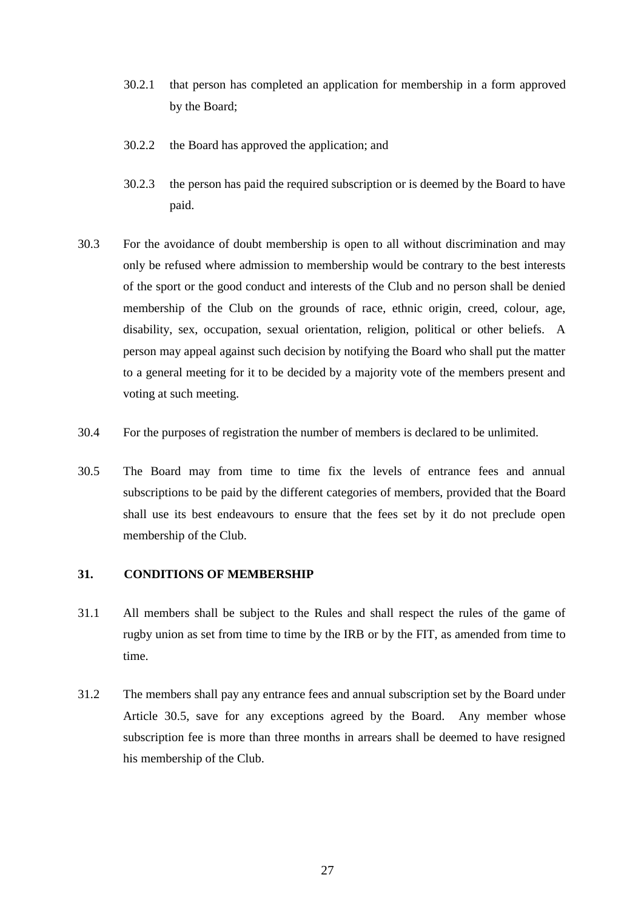- 30.2.1 that person has completed an application for membership in a form approved by the Board;
- 30.2.2 the Board has approved the application; and
- 30.2.3 the person has paid the required subscription or is deemed by the Board to have paid.
- 30.3 For the avoidance of doubt membership is open to all without discrimination and may only be refused where admission to membership would be contrary to the best interests of the sport or the good conduct and interests of the Club and no person shall be denied membership of the Club on the grounds of race, ethnic origin, creed, colour, age, disability, sex, occupation, sexual orientation, religion, political or other beliefs. A person may appeal against such decision by notifying the Board who shall put the matter to a general meeting for it to be decided by a majority vote of the members present and voting at such meeting.
- 30.4 For the purposes of registration the number of members is declared to be unlimited.
- <span id="page-27-1"></span>30.5 The Board may from time to time fix the levels of entrance fees and annual subscriptions to be paid by the different categories of members, provided that the Board shall use its best endeavours to ensure that the fees set by it do not preclude open membership of the Club.

### <span id="page-27-0"></span>**31. CONDITIONS OF MEMBERSHIP**

- 31.1 All members shall be subject to the Rules and shall respect the rules of the game of rugby union as set from time to time by the IRB or by the FIT, as amended from time to time.
- 31.2 The members shall pay any entrance fees and annual subscription set by the Board under Article [30.5,](#page-27-1) save for any exceptions agreed by the Board. Any member whose subscription fee is more than three months in arrears shall be deemed to have resigned his membership of the Club.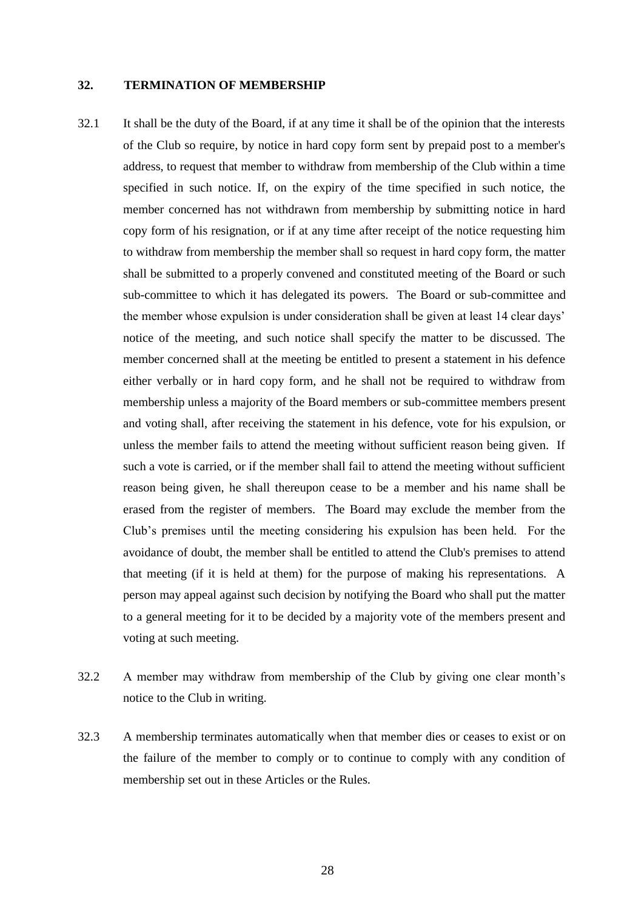#### <span id="page-28-0"></span>**32. TERMINATION OF MEMBERSHIP**

- 32.1 It shall be the duty of the Board, if at any time it shall be of the opinion that the interests of the Club so require, by notice in hard copy form sent by prepaid post to a member's address, to request that member to withdraw from membership of the Club within a time specified in such notice. If, on the expiry of the time specified in such notice, the member concerned has not withdrawn from membership by submitting notice in hard copy form of his resignation, or if at any time after receipt of the notice requesting him to withdraw from membership the member shall so request in hard copy form, the matter shall be submitted to a properly convened and constituted meeting of the Board or such sub-committee to which it has delegated its powers. The Board or sub-committee and the member whose expulsion is under consideration shall be given at least 14 clear days' notice of the meeting, and such notice shall specify the matter to be discussed. The member concerned shall at the meeting be entitled to present a statement in his defence either verbally or in hard copy form, and he shall not be required to withdraw from membership unless a majority of the Board members or sub-committee members present and voting shall, after receiving the statement in his defence, vote for his expulsion, or unless the member fails to attend the meeting without sufficient reason being given. If such a vote is carried, or if the member shall fail to attend the meeting without sufficient reason being given, he shall thereupon cease to be a member and his name shall be erased from the register of members. The Board may exclude the member from the Club's premises until the meeting considering his expulsion has been held. For the avoidance of doubt, the member shall be entitled to attend the Club's premises to attend that meeting (if it is held at them) for the purpose of making his representations. A person may appeal against such decision by notifying the Board who shall put the matter to a general meeting for it to be decided by a majority vote of the members present and voting at such meeting.
- 32.2 A member may withdraw from membership of the Club by giving one clear month's notice to the Club in writing.
- 32.3 A membership terminates automatically when that member dies or ceases to exist or on the failure of the member to comply or to continue to comply with any condition of membership set out in these Articles or the Rules.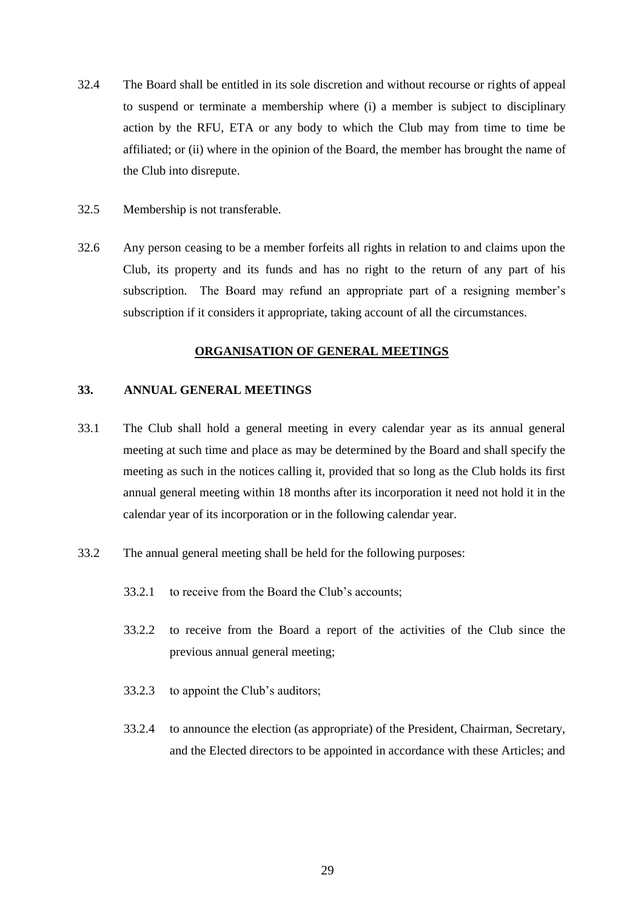- 32.4 The Board shall be entitled in its sole discretion and without recourse or rights of appeal to suspend or terminate a membership where (i) a member is subject to disciplinary action by the RFU, ETA or any body to which the Club may from time to time be affiliated; or (ii) where in the opinion of the Board, the member has brought the name of the Club into disrepute.
- 32.5 Membership is not transferable.
- 32.6 Any person ceasing to be a member forfeits all rights in relation to and claims upon the Club, its property and its funds and has no right to the return of any part of his subscription. The Board may refund an appropriate part of a resigning member's subscription if it considers it appropriate, taking account of all the circumstances.

#### **ORGANISATION OF GENERAL MEETINGS**

#### <span id="page-29-0"></span>**33. ANNUAL GENERAL MEETINGS**

- 33.1 The Club shall hold a general meeting in every calendar year as its annual general meeting at such time and place as may be determined by the Board and shall specify the meeting as such in the notices calling it, provided that so long as the Club holds its first annual general meeting within 18 months after its incorporation it need not hold it in the calendar year of its incorporation or in the following calendar year.
- 33.2 The annual general meeting shall be held for the following purposes:
	- 33.2.1 to receive from the Board the Club's accounts;
	- 33.2.2 to receive from the Board a report of the activities of the Club since the previous annual general meeting;
	- 33.2.3 to appoint the Club's auditors;
	- 33.2.4 to announce the election (as appropriate) of the President, Chairman, Secretary, and the Elected directors to be appointed in accordance with these Articles; and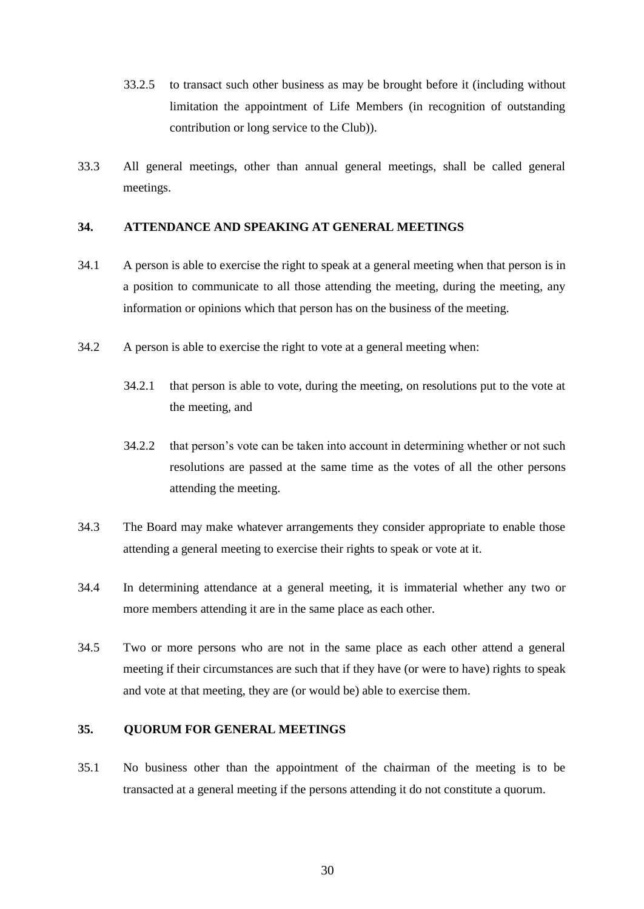- <span id="page-30-2"></span>33.2.5 to transact such other business as may be brought before it (including without limitation the appointment of Life Members (in recognition of outstanding contribution or long service to the Club)).
- 33.3 All general meetings, other than annual general meetings, shall be called general meetings.

## <span id="page-30-0"></span>**34. ATTENDANCE AND SPEAKING AT GENERAL MEETINGS**

- 34.1 A person is able to exercise the right to speak at a general meeting when that person is in a position to communicate to all those attending the meeting, during the meeting, any information or opinions which that person has on the business of the meeting.
- 34.2 A person is able to exercise the right to vote at a general meeting when:
	- 34.2.1 that person is able to vote, during the meeting, on resolutions put to the vote at the meeting, and
	- 34.2.2 that person's vote can be taken into account in determining whether or not such resolutions are passed at the same time as the votes of all the other persons attending the meeting.
- 34.3 The Board may make whatever arrangements they consider appropriate to enable those attending a general meeting to exercise their rights to speak or vote at it.
- 34.4 In determining attendance at a general meeting, it is immaterial whether any two or more members attending it are in the same place as each other.
- 34.5 Two or more persons who are not in the same place as each other attend a general meeting if their circumstances are such that if they have (or were to have) rights to speak and vote at that meeting, they are (or would be) able to exercise them.

## <span id="page-30-1"></span>**35. QUORUM FOR GENERAL MEETINGS**

35.1 No business other than the appointment of the chairman of the meeting is to be transacted at a general meeting if the persons attending it do not constitute a quorum.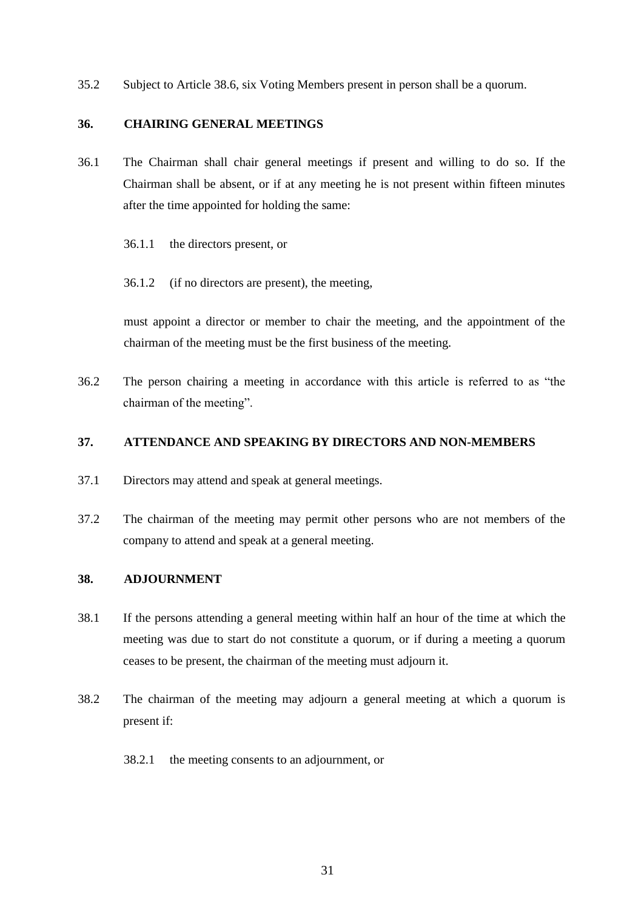35.2 Subject to Article [38.6,](#page-32-1) six Voting Members present in person shall be a quorum.

### <span id="page-31-0"></span>**36. CHAIRING GENERAL MEETINGS**

- 36.1 The Chairman shall chair general meetings if present and willing to do so. If the Chairman shall be absent, or if at any meeting he is not present within fifteen minutes after the time appointed for holding the same:
	- 36.1.1 the directors present, or
	- 36.1.2 (if no directors are present), the meeting,

must appoint a director or member to chair the meeting, and the appointment of the chairman of the meeting must be the first business of the meeting.

36.2 The person chairing a meeting in accordance with this article is referred to as "the chairman of the meeting".

### <span id="page-31-1"></span>**37. ATTENDANCE AND SPEAKING BY DIRECTORS AND NON-MEMBERS**

- 37.1 Directors may attend and speak at general meetings.
- 37.2 The chairman of the meeting may permit other persons who are not members of the company to attend and speak at a general meeting.

#### <span id="page-31-2"></span>**38. ADJOURNMENT**

- 38.1 If the persons attending a general meeting within half an hour of the time at which the meeting was due to start do not constitute a quorum, or if during a meeting a quorum ceases to be present, the chairman of the meeting must adjourn it.
- 38.2 The chairman of the meeting may adjourn a general meeting at which a quorum is present if:
	- 38.2.1 the meeting consents to an adjournment, or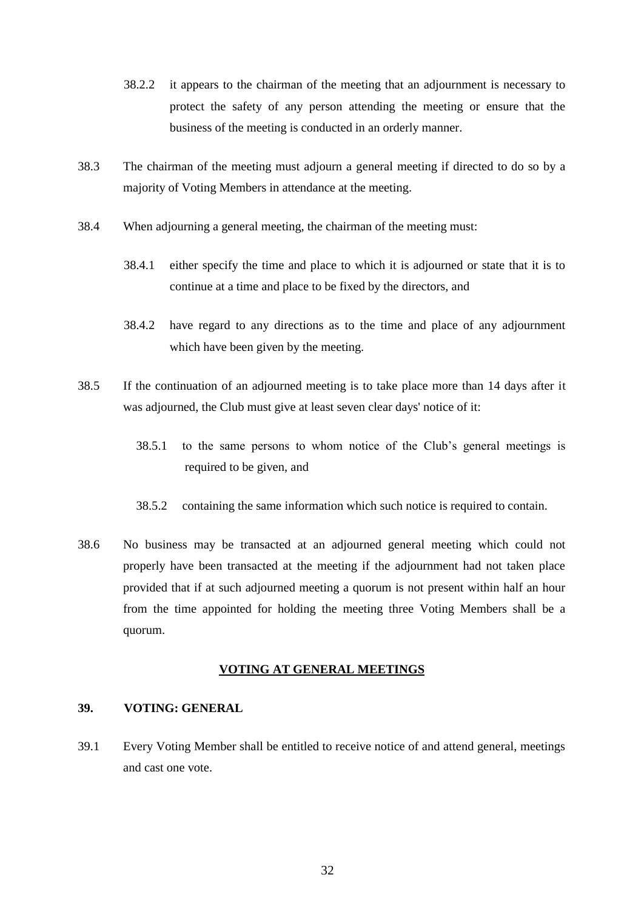- 38.2.2 it appears to the chairman of the meeting that an adjournment is necessary to protect the safety of any person attending the meeting or ensure that the business of the meeting is conducted in an orderly manner.
- 38.3 The chairman of the meeting must adjourn a general meeting if directed to do so by a majority of Voting Members in attendance at the meeting.
- 38.4 When adjourning a general meeting, the chairman of the meeting must:
	- 38.4.1 either specify the time and place to which it is adjourned or state that it is to continue at a time and place to be fixed by the directors, and
	- 38.4.2 have regard to any directions as to the time and place of any adjournment which have been given by the meeting.
- 38.5 If the continuation of an adjourned meeting is to take place more than 14 days after it was adjourned, the Club must give at least seven clear days' notice of it:
	- 38.5.1 to the same persons to whom notice of the Club's general meetings is required to be given, and
	- 38.5.2 containing the same information which such notice is required to contain.
- <span id="page-32-1"></span>38.6 No business may be transacted at an adjourned general meeting which could not properly have been transacted at the meeting if the adjournment had not taken place provided that if at such adjourned meeting a quorum is not present within half an hour from the time appointed for holding the meeting three Voting Members shall be a quorum.

#### **VOTING AT GENERAL MEETINGS**

#### <span id="page-32-0"></span>**39. VOTING: GENERAL**

39.1 Every Voting Member shall be entitled to receive notice of and attend general, meetings and cast one vote.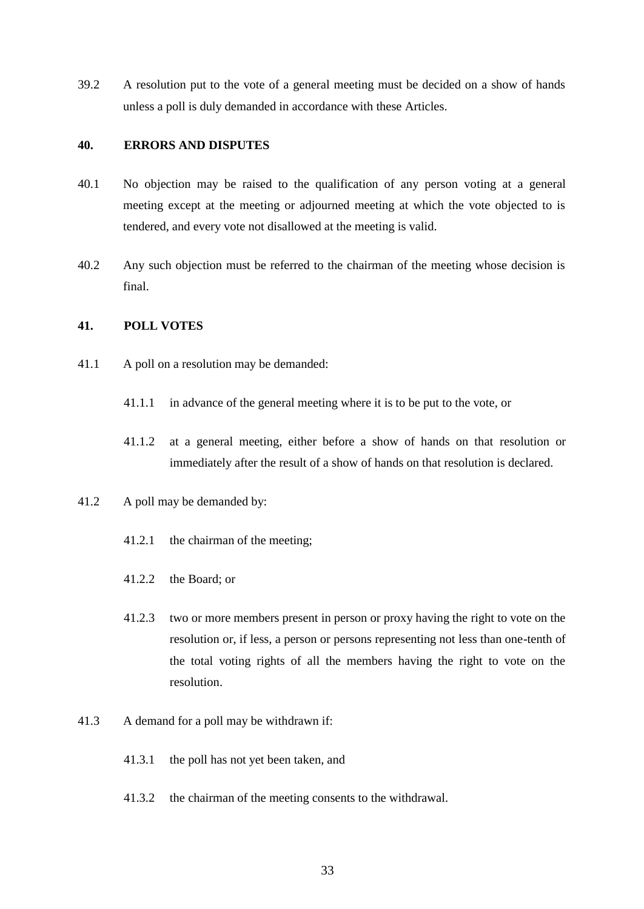39.2 A resolution put to the vote of a general meeting must be decided on a show of hands unless a poll is duly demanded in accordance with these Articles.

#### <span id="page-33-0"></span>**40. ERRORS AND DISPUTES**

- 40.1 No objection may be raised to the qualification of any person voting at a general meeting except at the meeting or adjourned meeting at which the vote objected to is tendered, and every vote not disallowed at the meeting is valid.
- 40.2 Any such objection must be referred to the chairman of the meeting whose decision is final.

### <span id="page-33-1"></span>**41. POLL VOTES**

- 41.1 A poll on a resolution may be demanded:
	- 41.1.1 in advance of the general meeting where it is to be put to the vote, or
	- 41.1.2 at a general meeting, either before a show of hands on that resolution or immediately after the result of a show of hands on that resolution is declared.

# 41.2 A poll may be demanded by:

- 41.2.1 the chairman of the meeting;
- 41.2.2 the Board; or
- 41.2.3 two or more members present in person or proxy having the right to vote on the resolution or, if less, a person or persons representing not less than one-tenth of the total voting rights of all the members having the right to vote on the resolution.
- 41.3 A demand for a poll may be withdrawn if:
	- 41.3.1 the poll has not yet been taken, and
	- 41.3.2 the chairman of the meeting consents to the withdrawal.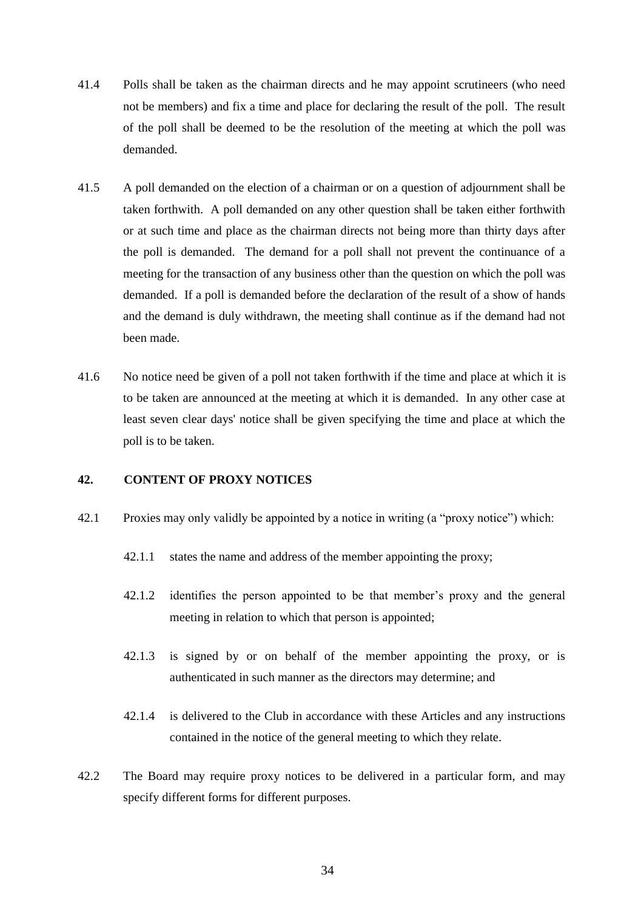- 41.4 Polls shall be taken as the chairman directs and he may appoint scrutineers (who need not be members) and fix a time and place for declaring the result of the poll. The result of the poll shall be deemed to be the resolution of the meeting at which the poll was demanded.
- 41.5 A poll demanded on the election of a chairman or on a question of adjournment shall be taken forthwith. A poll demanded on any other question shall be taken either forthwith or at such time and place as the chairman directs not being more than thirty days after the poll is demanded. The demand for a poll shall not prevent the continuance of a meeting for the transaction of any business other than the question on which the poll was demanded. If a poll is demanded before the declaration of the result of a show of hands and the demand is duly withdrawn, the meeting shall continue as if the demand had not been made.
- 41.6 No notice need be given of a poll not taken forthwith if the time and place at which it is to be taken are announced at the meeting at which it is demanded. In any other case at least seven clear days' notice shall be given specifying the time and place at which the poll is to be taken.

### <span id="page-34-0"></span>**42. CONTENT OF PROXY NOTICES**

- <span id="page-34-1"></span>42.1 Proxies may only validly be appointed by a notice in writing (a "proxy notice") which:
	- 42.1.1 states the name and address of the member appointing the proxy;
	- 42.1.2 identifies the person appointed to be that member's proxy and the general meeting in relation to which that person is appointed;
	- 42.1.3 is signed by or on behalf of the member appointing the proxy, or is authenticated in such manner as the directors may determine; and
	- 42.1.4 is delivered to the Club in accordance with these Articles and any instructions contained in the notice of the general meeting to which they relate.
- 42.2 The Board may require proxy notices to be delivered in a particular form, and may specify different forms for different purposes.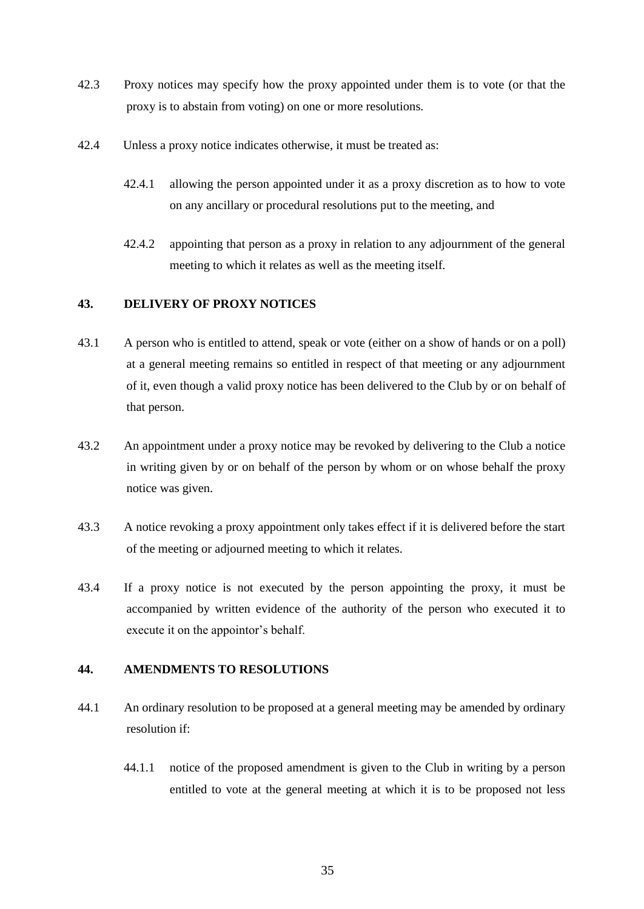- 42.3 Proxy notices may specify how the proxy appointed under them is to vote (or that the proxy is to abstain from voting) on one or more resolutions.
- 42.4 Unless a proxy notice indicates otherwise, it must be treated as:
	- 42.4.1 allowing the person appointed under it as a proxy discretion as to how to vote on any ancillary or procedural resolutions put to the meeting, and
	- 42.4.2 appointing that person as a proxy in relation to any adjournment of the general meeting to which it relates as well as the meeting itself.

## <span id="page-35-0"></span>**43. DELIVERY OF PROXY NOTICES**

- 43.1 A person who is entitled to attend, speak or vote (either on a show of hands or on a poll) at a general meeting remains so entitled in respect of that meeting or any adjournment of it, even though a valid proxy notice has been delivered to the Club by or on behalf of that person.
- 43.2 An appointment under a proxy notice may be revoked by delivering to the Club a notice in writing given by or on behalf of the person by whom or on whose behalf the proxy notice was given.
- 43.3 A notice revoking a proxy appointment only takes effect if it is delivered before the start of the meeting or adjourned meeting to which it relates.
- 43.4 If a proxy notice is not executed by the person appointing the proxy, it must be accompanied by written evidence of the authority of the person who executed it to execute it on the appointor's behalf.

## <span id="page-35-1"></span>**44. AMENDMENTS TO RESOLUTIONS**

- 44.1 An ordinary resolution to be proposed at a general meeting may be amended by ordinary resolution if:
	- 44.1.1 notice of the proposed amendment is given to the Club in writing by a person entitled to vote at the general meeting at which it is to be proposed not less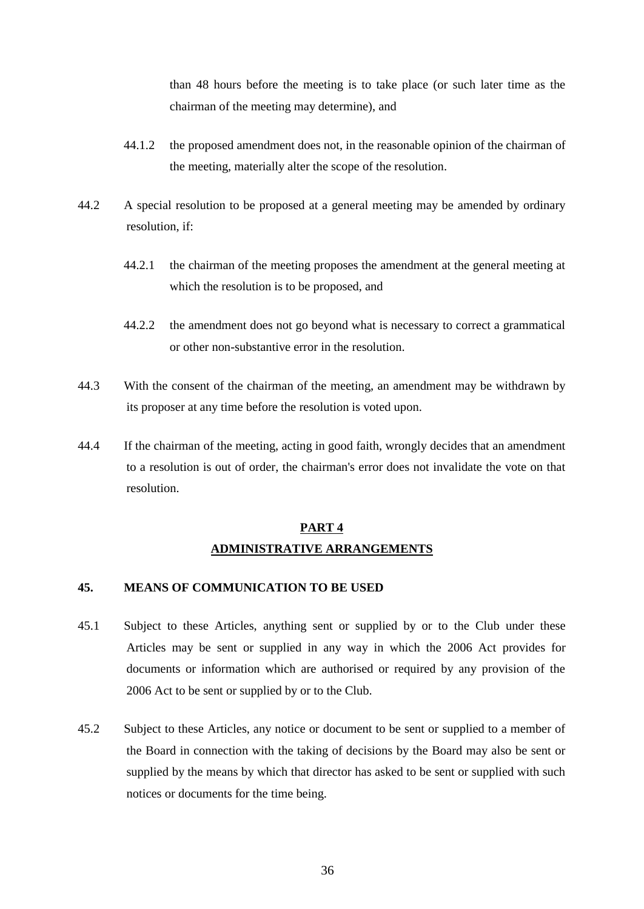than 48 hours before the meeting is to take place (or such later time as the chairman of the meeting may determine), and

- 44.1.2 the proposed amendment does not, in the reasonable opinion of the chairman of the meeting, materially alter the scope of the resolution.
- 44.2 A special resolution to be proposed at a general meeting may be amended by ordinary resolution, if:
	- 44.2.1 the chairman of the meeting proposes the amendment at the general meeting at which the resolution is to be proposed, and
	- 44.2.2 the amendment does not go beyond what is necessary to correct a grammatical or other non-substantive error in the resolution.
- 44.3 With the consent of the chairman of the meeting, an amendment may be withdrawn by its proposer at any time before the resolution is voted upon.
- 44.4 If the chairman of the meeting, acting in good faith, wrongly decides that an amendment to a resolution is out of order, the chairman's error does not invalidate the vote on that resolution.

# **PART 4 ADMINISTRATIVE ARRANGEMENTS**

# <span id="page-36-0"></span>**45. MEANS OF COMMUNICATION TO BE USED**

- 45.1 Subject to these Articles, anything sent or supplied by or to the Club under these Articles may be sent or supplied in any way in which the 2006 Act provides for documents or information which are authorised or required by any provision of the 2006 Act to be sent or supplied by or to the Club.
- 45.2 Subject to these Articles, any notice or document to be sent or supplied to a member of the Board in connection with the taking of decisions by the Board may also be sent or supplied by the means by which that director has asked to be sent or supplied with such notices or documents for the time being.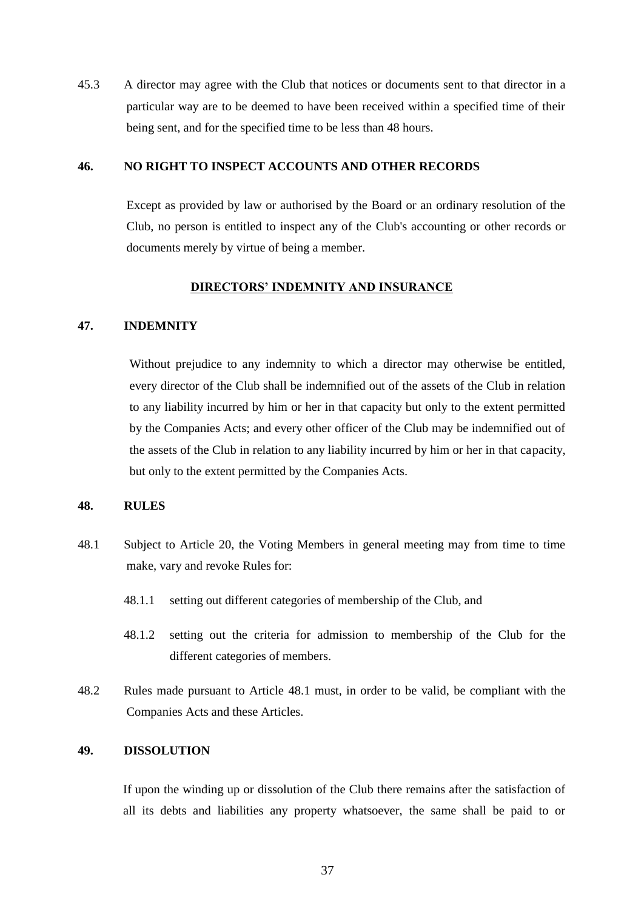45.3 A director may agree with the Club that notices or documents sent to that director in a particular way are to be deemed to have been received within a specified time of their being sent, and for the specified time to be less than 48 hours.

#### <span id="page-37-0"></span>**46. NO RIGHT TO INSPECT ACCOUNTS AND OTHER RECORDS**

Except as provided by law or authorised by the Board or an ordinary resolution of the Club, no person is entitled to inspect any of the Club's accounting or other records or documents merely by virtue of being a member.

#### **DIRECTORS' INDEMNITY AND INSURANCE**

### <span id="page-37-1"></span>**47. INDEMNITY**

Without prejudice to any indemnity to which a director may otherwise be entitled, every director of the Club shall be indemnified out of the assets of the Club in relation to any liability incurred by him or her in that capacity but only to the extent permitted by the Companies Acts; and every other officer of the Club may be indemnified out of the assets of the Club in relation to any liability incurred by him or her in that capacity, but only to the extent permitted by the Companies Acts.

#### <span id="page-37-2"></span>**48. RULES**

- <span id="page-37-4"></span>48.1 Subject to Article [20,](#page-21-0) the Voting Members in general meeting may from time to time make, vary and revoke Rules for:
	- 48.1.1 setting out different categories of membership of the Club, and
	- 48.1.2 setting out the criteria for admission to membership of the Club for the different categories of members.
- 48.2 Rules made pursuant to Article [48.1](#page-37-4) must, in order to be valid, be compliant with the Companies Acts and these Articles.

### <span id="page-37-3"></span>**49. DISSOLUTION**

If upon the winding up or dissolution of the Club there remains after the satisfaction of all its debts and liabilities any property whatsoever, the same shall be paid to or